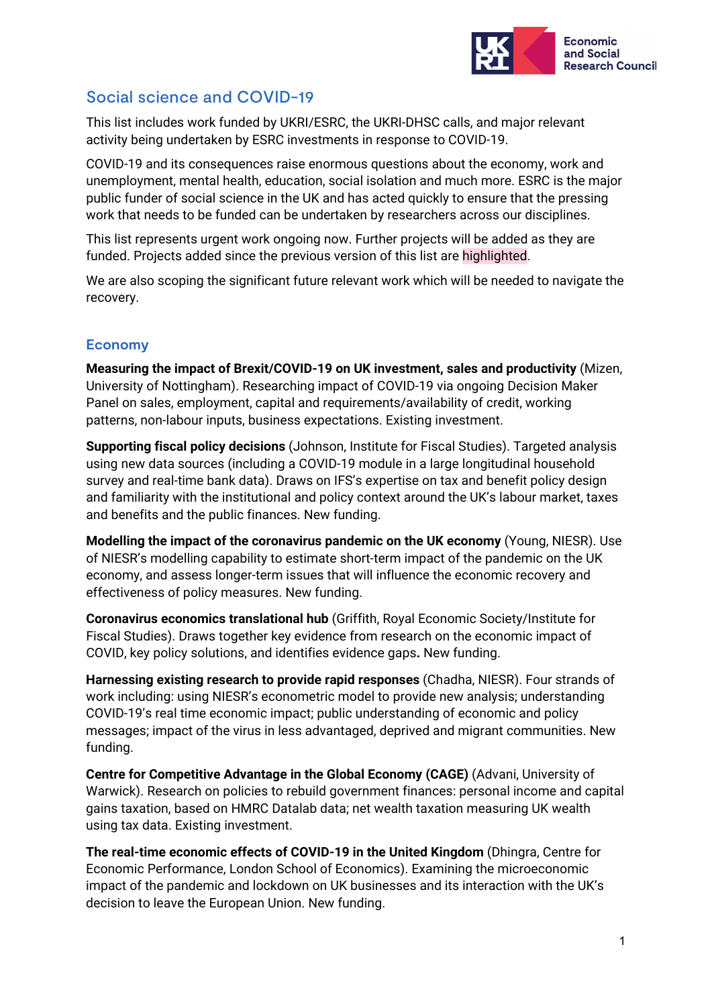

# Social science and COVID-19

This list includes work funded by UKRI/ESRC, the UKRI-DHSC calls, and major relevant activity being undertaken by ESRC investments in response to COVID-19.

COVID-19 and its consequences raise enormous questions about the economy, work and unemployment, mental health, education, social isolation and much more. ESRC is the major public funder of social science in the UK and has acted quickly to ensure that the pressing work that needs to be funded can be undertaken by researchers across our disciplines.

This list represents urgent work ongoing now. Further projects will be added as they are funded. Projects added since the previous version of this list are highlighted.

We are also scoping the significant future relevant work which will be needed to navigate the recovery.

## **Economy**

**Measuring the impact of Brexit/COVID-19 on UK investment, sales and productivity** (Mizen, University of Nottingham). Researching impact of COVID-19 via ongoing Decision Maker Panel on sales, employment, capital and requirements/availability of credit, working patterns, non-labour inputs, business expectations. Existing investment.

**Supporting fiscal policy decisions** (Johnson, Institute for Fiscal Studies). Targeted analysis using new data sources (including a COVID-19 module in a large longitudinal household survey and real-time bank data). Draws on IFS's expertise on tax and benefit policy design and familiarity with the institutional and policy context around the UK's labour market, taxes and benefits and the public finances. New funding.

**Modelling the impact of the coronavirus pandemic on the UK economy** (Young, NIESR). Use of NIESR's modelling capability to estimate short-term impact of the pandemic on the UK economy, and assess longer-term issues that will influence the economic recovery and effectiveness of policy measures. New funding.

**Coronavirus economics translational hub** (Griffith, Royal Economic Society/Institute for Fiscal Studies). Draws together key evidence from research on the economic impact of COVID, key policy solutions, and identifies evidence gaps**.** New funding.

**Harnessing existing research to provide rapid responses** (Chadha, NIESR). Four strands of work including: using NIESR's econometric model to provide new analysis; understanding COVID-19's real time economic impact; public understanding of economic and policy messages; impact of the virus in less advantaged, deprived and migrant communities. New funding.

**Centre for Competitive Advantage in the Global Economy (CAGE)** (Advani, University of Warwick). Research on policies to rebuild government finances: personal income and capital gains taxation, based on HMRC Datalab data; net wealth taxation measuring UK wealth using tax data. Existing investment.

**The real-time economic effects of COVID-19 in the United Kingdom** (Dhingra, Centre for Economic Performance, London School of Economics). Examining the microeconomic impact of the pandemic and lockdown on UK businesses and its interaction with the UK's decision to leave the European Union. New funding.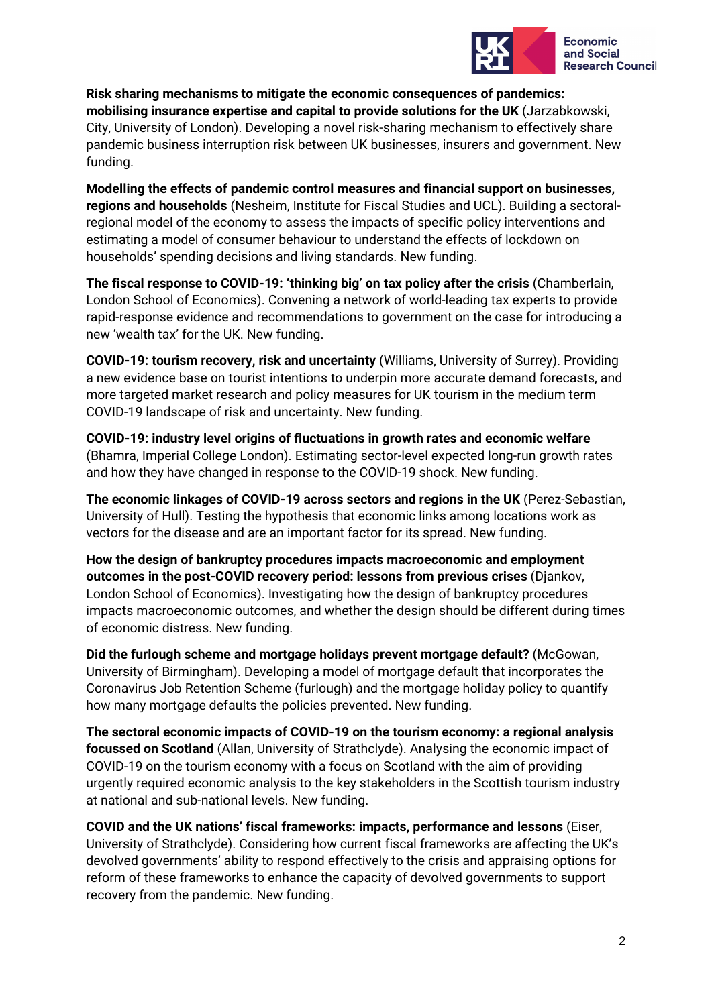

**Risk sharing mechanisms to mitigate the economic consequences of pandemics: mobilising insurance expertise and capital to provide solutions for the UK** (Jarzabkowski, City, University of London). Developing a novel risk-sharing mechanism to effectively share pandemic business interruption risk between UK businesses, insurers and government. New funding.

**Modelling the effects of pandemic control measures and financial support on businesses, regions and households** (Nesheim, Institute for Fiscal Studies and UCL). Building a sectoralregional model of the economy to assess the impacts of specific policy interventions and estimating a model of consumer behaviour to understand the effects of lockdown on households' spending decisions and living standards. New funding.

**The fiscal response to COVID-19: 'thinking big' on tax policy after the crisis** (Chamberlain, London School of Economics). Convening a network of world-leading tax experts to provide rapid-response evidence and recommendations to government on the case for introducing a new 'wealth tax' for the UK. New funding.

**COVID-19: tourism recovery, risk and uncertainty** (Williams, University of Surrey). Providing a new evidence base on tourist intentions to underpin more accurate demand forecasts, and more targeted market research and policy measures for UK tourism in the medium term COVID-19 landscape of risk and uncertainty. New funding.

**COVID-19: industry level origins of fluctuations in growth rates and economic welfare**  (Bhamra, Imperial College London). Estimating sector-level expected long-run growth rates and how they have changed in response to the COVID-19 shock. New funding.

**The economic linkages of COVID-19 across sectors and regions in the UK** (Perez-Sebastian, University of Hull). Testing the hypothesis that economic links among locations work as vectors for the disease and are an important factor for its spread. New funding.

**How the design of bankruptcy procedures impacts macroeconomic and employment outcomes in the post-COVID recovery period: lessons from previous crises** (Djankov, London School of Economics). Investigating how the design of bankruptcy procedures impacts macroeconomic outcomes, and whether the design should be different during times of economic distress. New funding.

**Did the furlough scheme and mortgage holidays prevent mortgage default?** (McGowan, University of Birmingham). Developing a model of mortgage default that incorporates the Coronavirus Job Retention Scheme (furlough) and the mortgage holiday policy to quantify how many mortgage defaults the policies prevented. New funding.

**The sectoral economic impacts of COVID-19 on the tourism economy: a regional analysis focussed on Scotland** (Allan, University of Strathclyde). Analysing the economic impact of COVID-19 on the tourism economy with a focus on Scotland with the aim of providing urgently required economic analysis to the key stakeholders in the Scottish tourism industry at national and sub-national levels. New funding.

**COVID and the UK nations' fiscal frameworks: impacts, performance and lessons** (Eiser, University of Strathclyde). Considering how current fiscal frameworks are affecting the UK's devolved governments' ability to respond effectively to the crisis and appraising options for reform of these frameworks to enhance the capacity of devolved governments to support recovery from the pandemic. New funding.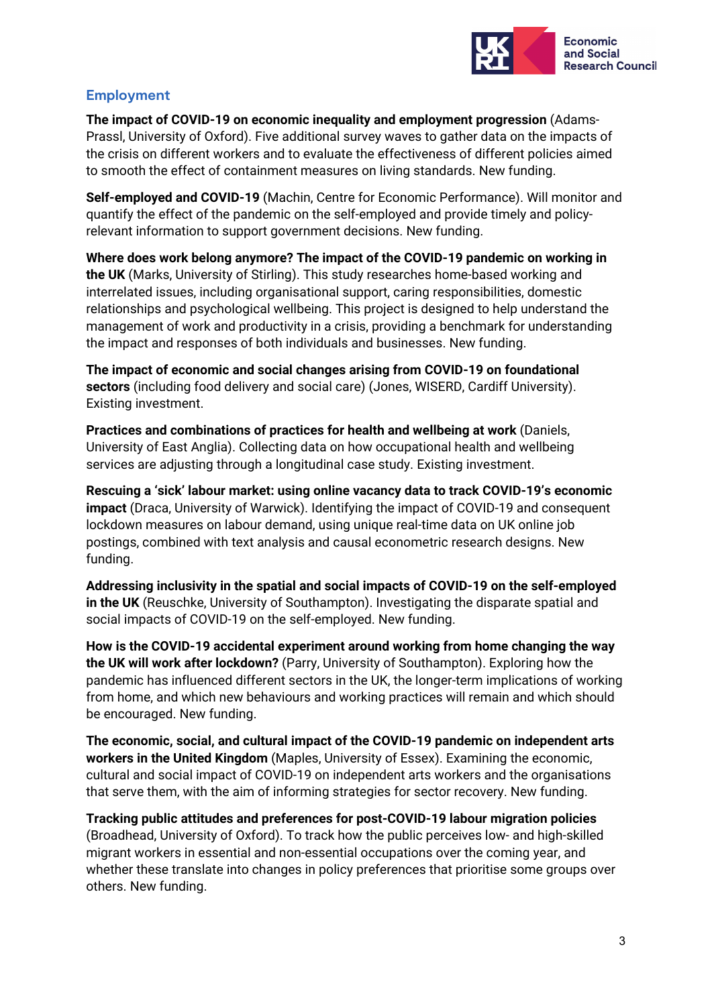

### **Employment**

**The impact of COVID-19 on economic inequality and employment progression** (Adams-Prassl, University of Oxford). Five additional survey waves to gather data on the impacts of the crisis on different workers and to evaluate the effectiveness of different policies aimed to smooth the effect of containment measures on living standards. New funding.

**Self-employed and COVID-19** (Machin, Centre for Economic Performance). Will monitor and quantify the effect of the pandemic on the self-employed and provide timely and policyrelevant information to support government decisions. New funding.

**Where does work belong anymore? The impact of the COVID-19 pandemic on working in the UK** (Marks, University of Stirling). This study researches home-based working and interrelated issues, including organisational support, caring responsibilities, domestic relationships and psychological wellbeing. This project is designed to help understand the management of work and productivity in a crisis, providing a benchmark for understanding the impact and responses of both individuals and businesses. New funding.

**The impact of economic and social changes arising from COVID-19 on foundational sectors** (including food delivery and social care) (Jones, WISERD, Cardiff University). Existing investment.

**Practices and combinations of practices for health and wellbeing at work** (Daniels, University of East Anglia). Collecting data on how occupational health and wellbeing services are adjusting through a longitudinal case study. Existing investment.

**Rescuing a 'sick' labour market: using online vacancy data to track COVID-19's economic impact** (Draca, University of Warwick). Identifying the impact of COVID-19 and consequent lockdown measures on labour demand, using unique real-time data on UK online job postings, combined with text analysis and causal econometric research designs. New funding.

**Addressing inclusivity in the spatial and social impacts of COVID-19 on the self-employed in the UK** (Reuschke, University of Southampton). Investigating the disparate spatial and social impacts of COVID-19 on the self-employed. New funding.

**How is the COVID-19 accidental experiment around working from home changing the way the UK will work after lockdown?** (Parry, University of Southampton). Exploring how the pandemic has influenced different sectors in the UK, the longer-term implications of working from home, and which new behaviours and working practices will remain and which should be encouraged. New funding.

**The economic, social, and cultural impact of the COVID-19 pandemic on independent arts workers in the United Kingdom** (Maples, University of Essex). Examining the economic, cultural and social impact of COVID-19 on independent arts workers and the organisations that serve them, with the aim of informing strategies for sector recovery. New funding.

**Tracking public attitudes and preferences for post-COVID-19 labour migration policies** (Broadhead, University of Oxford). To track how the public perceives low- and high-skilled migrant workers in essential and non-essential occupations over the coming year, and whether these translate into changes in policy preferences that prioritise some groups over others. New funding.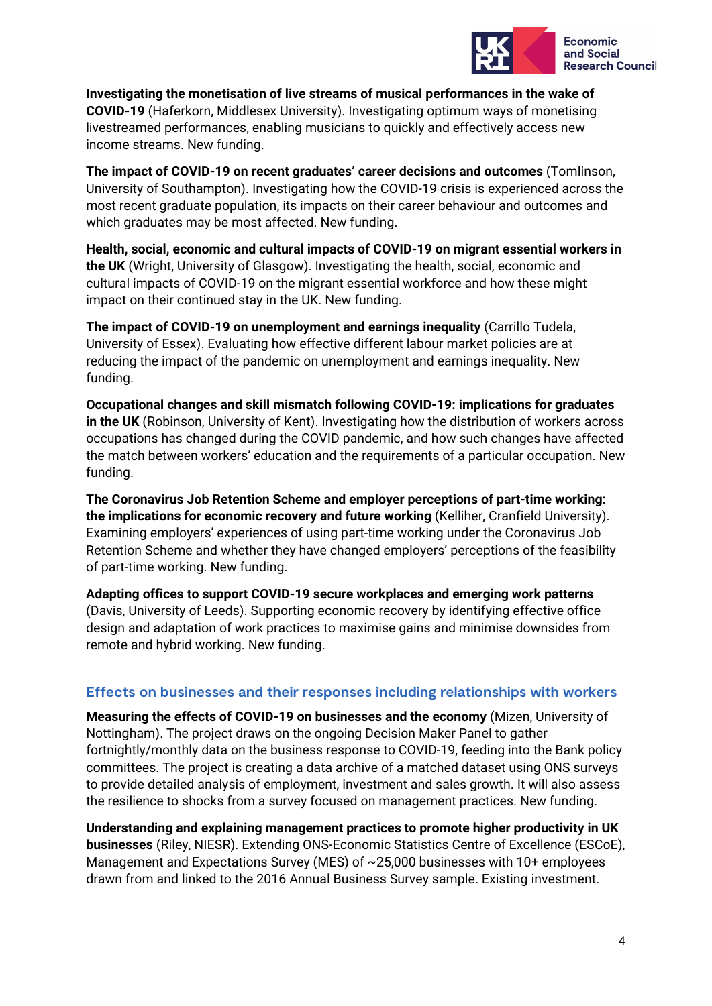

**Investigating the monetisation of live streams of musical performances in the wake of COVID-19** (Haferkorn, Middlesex University). Investigating optimum ways of monetising livestreamed performances, enabling musicians to quickly and effectively access new income streams. New funding.

**The impact of COVID-19 on recent graduates' career decisions and outcomes** (Tomlinson, University of Southampton). Investigating how the COVID-19 crisis is experienced across the most recent graduate population, its impacts on their career behaviour and outcomes and which graduates may be most affected. New funding.

**Health, social, economic and cultural impacts of COVID-19 on migrant essential workers in the UK** (Wright, University of Glasgow). Investigating the health, social, economic and cultural impacts of COVID-19 on the migrant essential workforce and how these might impact on their continued stay in the UK. New funding.

**The impact of COVID-19 on unemployment and earnings inequality** (Carrillo Tudela, University of Essex). Evaluating how effective different labour market policies are at reducing the impact of the pandemic on unemployment and earnings inequality. New funding.

**Occupational changes and skill mismatch following COVID-19: implications for graduates in the UK** (Robinson, University of Kent). Investigating how the distribution of workers across occupations has changed during the COVID pandemic, and how such changes have affected the match between workers' education and the requirements of a particular occupation. New funding.

**The Coronavirus Job Retention Scheme and employer perceptions of part-time working: the implications for economic recovery and future working** (Kelliher, Cranfield University). Examining employers' experiences of using part-time working under the Coronavirus Job Retention Scheme and whether they have changed employers' perceptions of the feasibility of part-time working. New funding.

**Adapting offices to support COVID-19 secure workplaces and emerging work patterns** (Davis, University of Leeds). Supporting economic recovery by identifying effective office design and adaptation of work practices to maximise gains and minimise downsides from remote and hybrid working. New funding.

#### **Effects on businesses and their responses including relationships with workers**

**Measuring the effects of COVID-19 on businesses and the economy** (Mizen, University of Nottingham). The project draws on the ongoing Decision Maker Panel to gather fortnightly/monthly data on the business response to COVID-19, feeding into the Bank policy committees. The project is creating a data archive of a matched dataset using ONS surveys to provide detailed analysis of employment, investment and sales growth. It will also assess the resilience to shocks from a survey focused on management practices. New funding.

**Understanding and explaining management practices to promote higher productivity in UK businesses** (Riley, NIESR). Extending ONS-Economic Statistics Centre of Excellence (ESCoE), Management and Expectations Survey (MES) of ~25,000 businesses with 10+ employees drawn from and linked to the 2016 Annual Business Survey sample. Existing investment.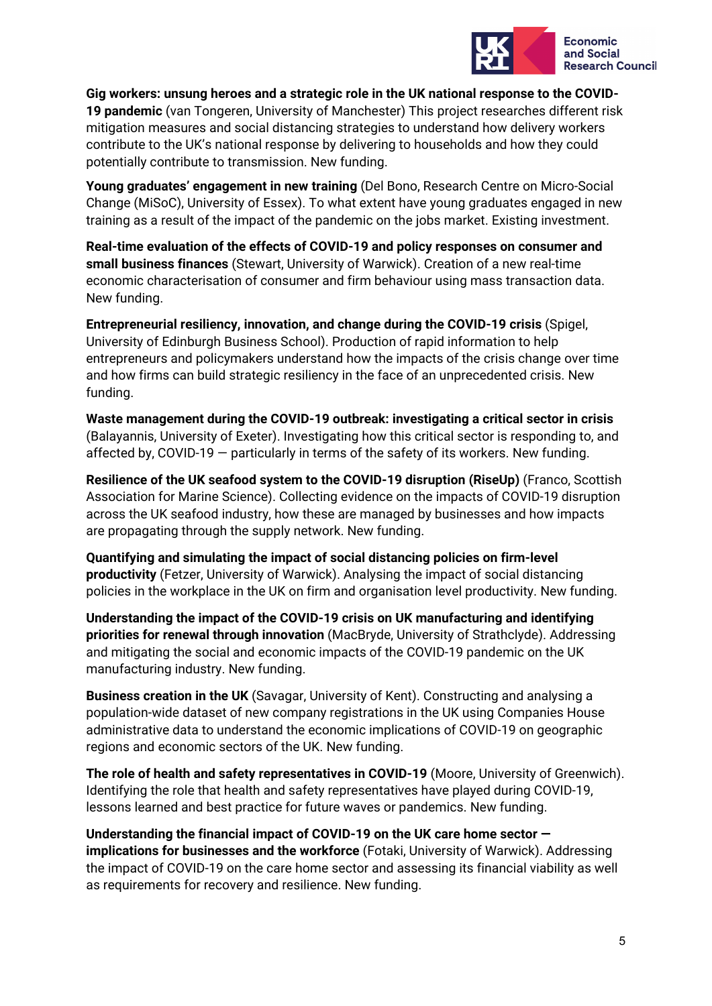

**Gig workers: unsung heroes and a strategic role in the UK national response to the COVID-19 pandemic** (van Tongeren, University of Manchester) This project researches different risk mitigation measures and social distancing strategies to understand how delivery workers contribute to the UK's national response by delivering to households and how they could potentially contribute to transmission. New funding.

**Young graduates' engagement in new training** (Del Bono, Research Centre on Micro-Social Change (MiSoC), University of Essex). To what extent have young graduates engaged in new training as a result of the impact of the pandemic on the jobs market. Existing investment.

**Real-time evaluation of the effects of COVID-19 and policy responses on consumer and small business finances** (Stewart, University of Warwick). Creation of a new real-time economic characterisation of consumer and firm behaviour using mass transaction data. New funding.

**Entrepreneurial resiliency, innovation, and change during the COVID-19 crisis** (Spigel, University of Edinburgh Business School). Production of rapid information to help entrepreneurs and policymakers understand how the impacts of the crisis change over time and how firms can build strategic resiliency in the face of an unprecedented crisis. New funding.

**Waste management during the COVID-19 outbreak: investigating a critical sector in crisis** (Balayannis, University of Exeter). Investigating how this critical sector is responding to, and affected by, COVID-19 — particularly in terms of the safety of its workers. New funding.

**Resilience of the UK seafood system to the COVID-19 disruption (RiseUp)** (Franco, Scottish Association for Marine Science). Collecting evidence on the impacts of COVID-19 disruption across the UK seafood industry, how these are managed by businesses and how impacts are propagating through the supply network. New funding.

**Quantifying and simulating the impact of social distancing policies on firm-level productivity** (Fetzer, University of Warwick). Analysing the impact of social distancing policies in the workplace in the UK on firm and organisation level productivity. New funding.

**Understanding the impact of the COVID-19 crisis on UK manufacturing and identifying priorities for renewal through innovation** (MacBryde, University of Strathclyde). Addressing and mitigating the social and economic impacts of the COVID-19 pandemic on the UK manufacturing industry. New funding.

**Business creation in the UK** (Savagar, University of Kent). Constructing and analysing a population-wide dataset of new company registrations in the UK using Companies House administrative data to understand the economic implications of COVID-19 on geographic regions and economic sectors of the UK. New funding.

**The role of health and safety representatives in COVID-19** (Moore, University of Greenwich). Identifying the role that health and safety representatives have played during COVID-19, lessons learned and best practice for future waves or pandemics. New funding.

**Understanding the financial impact of COVID-19 on the UK care home sector implications for businesses and the workforce** (Fotaki, University of Warwick). Addressing the impact of COVID-19 on the care home sector and assessing its financial viability as well as requirements for recovery and resilience. New funding.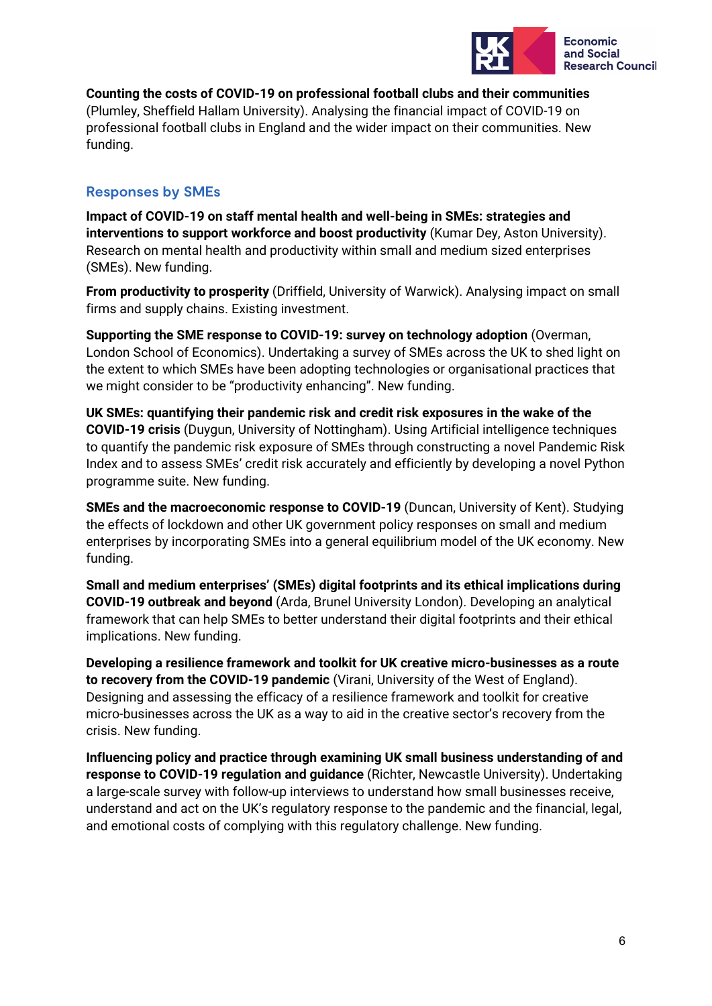

**Counting the costs of COVID-19 on professional football clubs and their communities** (Plumley, Sheffield Hallam University). Analysing the financial impact of COVID-19 on professional football clubs in England and the wider impact on their communities. New funding.

### **Responses by SMEs**

**Impact of COVID-19 on staff mental health and well-being in SMEs: strategies and interventions to support workforce and boost productivity** (Kumar Dey, Aston University). Research on mental health and productivity within small and medium sized enterprises (SMEs). New funding.

**From productivity to prosperity** (Driffield, University of Warwick). Analysing impact on small firms and supply chains. Existing investment.

**Supporting the SME response to COVID-19: survey on technology adoption** (Overman, London School of Economics). Undertaking a survey of SMEs across the UK to shed light on the extent to which SMEs have been adopting technologies or organisational practices that we might consider to be "productivity enhancing". New funding.

**UK SMEs: quantifying their pandemic risk and credit risk exposures in the wake of the COVID-19 crisis** (Duygun, University of Nottingham). Using Artificial intelligence techniques to quantify the pandemic risk exposure of SMEs through constructing a novel Pandemic Risk Index and to assess SMEs' credit risk accurately and efficiently by developing a novel Python programme suite. New funding.

**SMEs and the macroeconomic response to COVID-19** (Duncan, University of Kent). Studying the effects of lockdown and other UK government policy responses on small and medium enterprises by incorporating SMEs into a general equilibrium model of the UK economy. New funding.

**Small and medium enterprises' (SMEs) digital footprints and its ethical implications during COVID-19 outbreak and beyond** (Arda, Brunel University London). Developing an analytical framework that can help SMEs to better understand their digital footprints and their ethical implications. New funding.

**Developing a resilience framework and toolkit for UK creative micro-businesses as a route to recovery from the COVID-19 pandemic** (Virani, University of the West of England). Designing and assessing the efficacy of a resilience framework and toolkit for creative micro-businesses across the UK as a way to aid in the creative sector's recovery from the crisis. New funding.

**Influencing policy and practice through examining UK small business understanding of and response to COVID-19 regulation and guidance** (Richter, Newcastle University). Undertaking a large-scale survey with follow-up interviews to understand how small businesses receive, understand and act on the UK's regulatory response to the pandemic and the financial, legal, and emotional costs of complying with this regulatory challenge. New funding.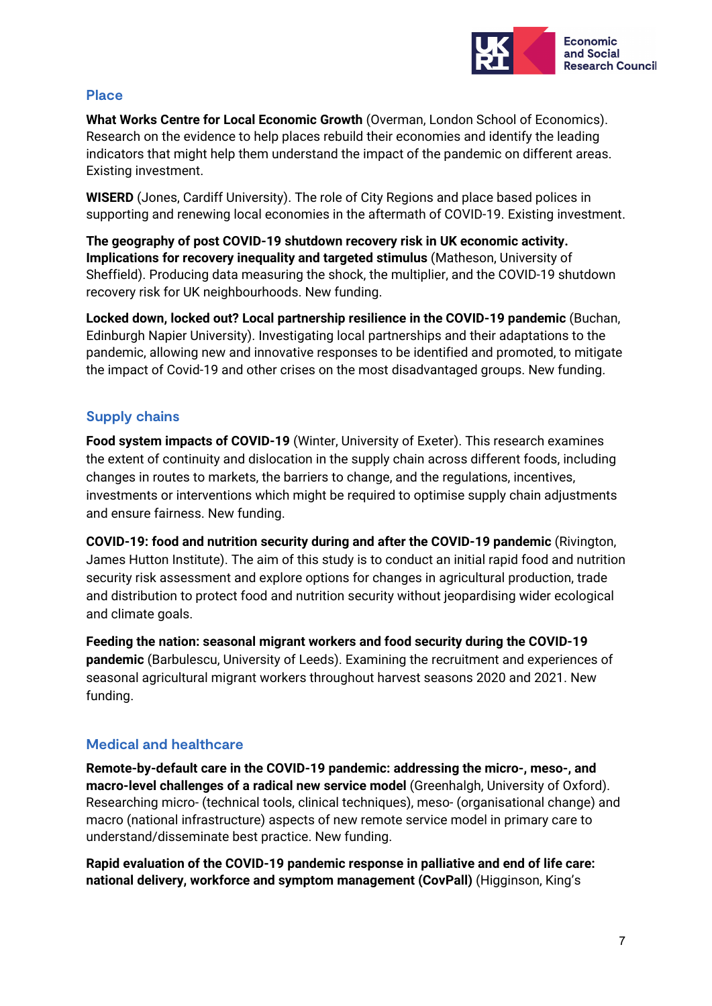

#### **Place**

**What Works Centre for Local Economic Growth** (Overman, London School of Economics). Research on the evidence to help places rebuild their economies and identify the leading indicators that might help them understand the impact of the pandemic on different areas. Existing investment.

**WISERD** (Jones, Cardiff University). The role of City Regions and place based polices in supporting and renewing local economies in the aftermath of COVID-19. Existing investment.

**The geography of post COVID-19 shutdown recovery risk in UK economic activity. Implications for recovery inequality and targeted stimulus** (Matheson, University of Sheffield). Producing data measuring the shock, the multiplier, and the COVID-19 shutdown recovery risk for UK neighbourhoods. New funding.

**Locked down, locked out? Local partnership resilience in the COVID-19 pandemic** (Buchan, Edinburgh Napier University). Investigating local partnerships and their adaptations to the pandemic, allowing new and innovative responses to be identified and promoted, to mitigate the impact of Covid-19 and other crises on the most disadvantaged groups. New funding.

### **Supply chains**

**Food system impacts of COVID-19** (Winter, University of Exeter). This research examines the extent of continuity and dislocation in the supply chain across different foods, including changes in routes to markets, the barriers to change, and the regulations, incentives, investments or interventions which might be required to optimise supply chain adjustments and ensure fairness. New funding.

**COVID-19: food and nutrition security during and after the COVID-19 pandemic** (Rivington, James Hutton Institute). The aim of this study is to conduct an initial rapid food and nutrition security risk assessment and explore options for changes in agricultural production, trade and distribution to protect food and nutrition security without jeopardising wider ecological and climate goals.

**Feeding the nation: seasonal migrant workers and food security during the COVID-19 pandemic** (Barbulescu, University of Leeds). Examining the recruitment and experiences of seasonal agricultural migrant workers throughout harvest seasons 2020 and 2021. New funding.

### **Medical and healthcare**

**Remote-by-default care in the COVID-19 pandemic: addressing the micro-, meso-, and macro-level challenges of a radical new service model** (Greenhalgh, University of Oxford). Researching micro- (technical tools, clinical techniques), meso- (organisational change) and macro (national infrastructure) aspects of new remote service model in primary care to understand/disseminate best practice. New funding.

**Rapid evaluation of the COVID-19 pandemic response in palliative and end of life care: national delivery, workforce and symptom management (CovPall)** (Higginson, King's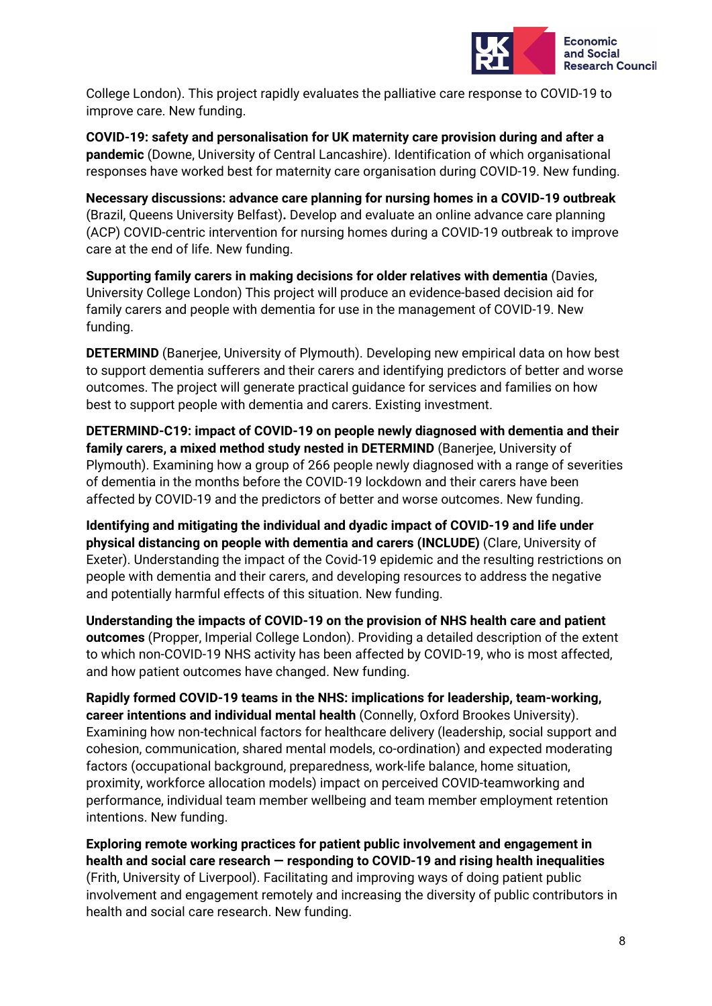

College London). This project rapidly evaluates the palliative care response to COVID-19 to improve care. New funding.

**COVID-19: safety and personalisation for UK maternity care provision during and after a pandemic** (Downe, University of Central Lancashire). Identification of which organisational responses have worked best for maternity care organisation during COVID-19. New funding.

**Necessary discussions: advance care planning for nursing homes in a COVID-19 outbreak** (Brazil, Queens University Belfast)**.** Develop and evaluate an online advance care planning (ACP) COVID-centric intervention for nursing homes during a COVID-19 outbreak to improve care at the end of life. New funding.

**Supporting family carers in making decisions for older relatives with dementia** (Davies, University College London) This project will produce an evidence-based decision aid for family carers and people with dementia for use in the management of COVID-19. New funding.

**DETERMIND** (Banerjee, University of Plymouth). Developing new empirical data on how best to support dementia sufferers and their carers and identifying predictors of better and worse outcomes. The project will generate practical guidance for services and families on how best to support people with dementia and carers. Existing investment.

**DETERMIND-C19: impact of COVID-19 on people newly diagnosed with dementia and their family carers, a mixed method study nested in DETERMIND** (Banerjee, University of Plymouth). Examining how a group of 266 people newly diagnosed with a range of severities of dementia in the months before the COVID-19 lockdown and their carers have been affected by COVID-19 and the predictors of better and worse outcomes. New funding.

**Identifying and mitigating the individual and dyadic impact of COVID-19 and life under physical distancing on people with dementia and carers (INCLUDE)** (Clare, University of Exeter). Understanding the impact of the Covid-19 epidemic and the resulting restrictions on people with dementia and their carers, and developing resources to address the negative and potentially harmful effects of this situation. New funding.

**Understanding the impacts of COVID-19 on the provision of NHS health care and patient outcomes** (Propper, Imperial College London). Providing a detailed description of the extent to which non-COVID-19 NHS activity has been affected by COVID-19, who is most affected, and how patient outcomes have changed. New funding.

**Rapidly formed COVID-19 teams in the NHS: implications for leadership, team-working, career intentions and individual mental health** (Connelly, Oxford Brookes University). Examining how non-technical factors for healthcare delivery (leadership, social support and cohesion, communication, shared mental models, co-ordination) and expected moderating factors (occupational background, preparedness, work-life balance, home situation, proximity, workforce allocation models) impact on perceived COVID-teamworking and performance, individual team member wellbeing and team member employment retention intentions. New funding.

**Exploring remote working practices for patient public involvement and engagement in health and social care research — responding to COVID-19 and rising health inequalities** (Frith, University of Liverpool). Facilitating and improving ways of doing patient public involvement and engagement remotely and increasing the diversity of public contributors in health and social care research. New funding.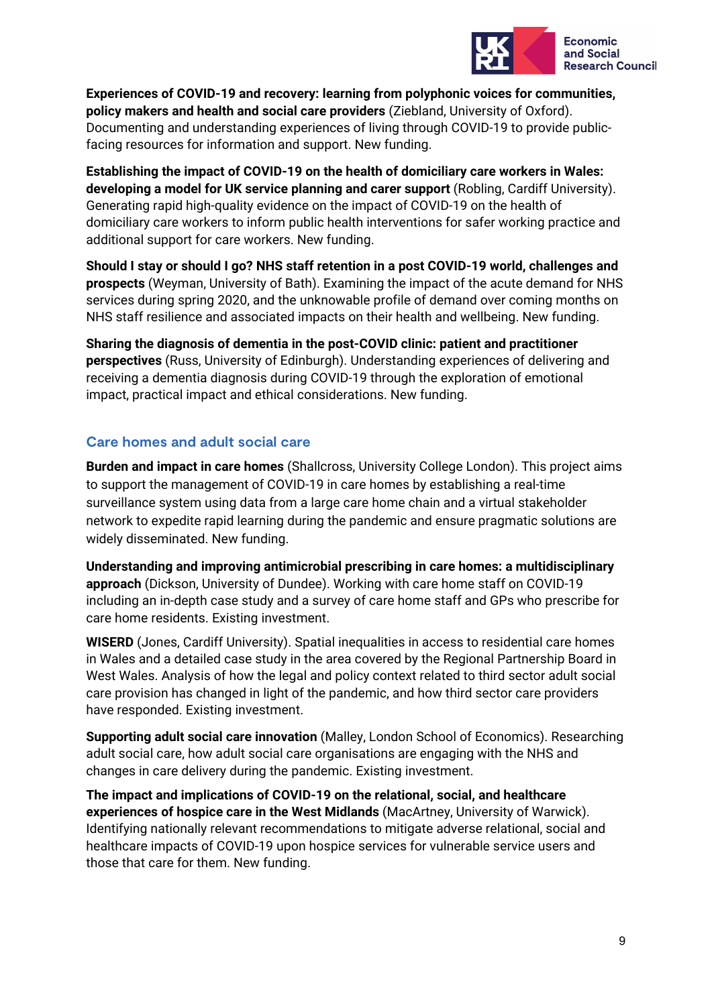

**Experiences of COVID-19 and recovery: learning from polyphonic voices for communities, policy makers and health and social care providers** (Ziebland, University of Oxford). Documenting and understanding experiences of living through COVID-19 to provide publicfacing resources for information and support. New funding.

**Establishing the impact of COVID-19 on the health of domiciliary care workers in Wales: developing a model for UK service planning and carer support** (Robling, Cardiff University). Generating rapid high-quality evidence on the impact of COVID-19 on the health of domiciliary care workers to inform public health interventions for safer working practice and additional support for care workers. New funding.

**Should I stay or should I go? NHS staff retention in a post COVID-19 world, challenges and prospects** (Weyman, University of Bath). Examining the impact of the acute demand for NHS services during spring 2020, and the unknowable profile of demand over coming months on NHS staff resilience and associated impacts on their health and wellbeing. New funding.

**Sharing the diagnosis of dementia in the post-COVID clinic: patient and practitioner perspectives** (Russ, University of Edinburgh). Understanding experiences of delivering and receiving a dementia diagnosis during COVID-19 through the exploration of emotional impact, practical impact and ethical considerations. New funding.

### **Care homes and adult social care**

**Burden and impact in care homes** (Shallcross, University College London). This project aims to support the management of COVID-19 in care homes by establishing a real-time surveillance system using data from a large care home chain and a virtual stakeholder network to expedite rapid learning during the pandemic and ensure pragmatic solutions are widely disseminated. New funding.

**Understanding and improving antimicrobial prescribing in care homes: a multidisciplinary approach** (Dickson, University of Dundee). Working with care home staff on COVID-19 including an in-depth case study and a survey of care home staff and GPs who prescribe for care home residents. Existing investment.

**WISERD** (Jones, Cardiff University). Spatial inequalities in access to residential care homes in Wales and a detailed case study in the area covered by the Regional Partnership Board in West Wales. Analysis of how the legal and policy context related to third sector adult social care provision has changed in light of the pandemic, and how third sector care providers have responded. Existing investment.

**Supporting adult social care innovation** (Malley, London School of Economics). Researching adult social care, how adult social care organisations are engaging with the NHS and changes in care delivery during the pandemic. Existing investment.

**The impact and implications of COVID-19 on the relational, social, and healthcare experiences of hospice care in the West Midlands** (MacArtney, University of Warwick). Identifying nationally relevant recommendations to mitigate adverse relational, social and healthcare impacts of COVID-19 upon hospice services for vulnerable service users and those that care for them. New funding.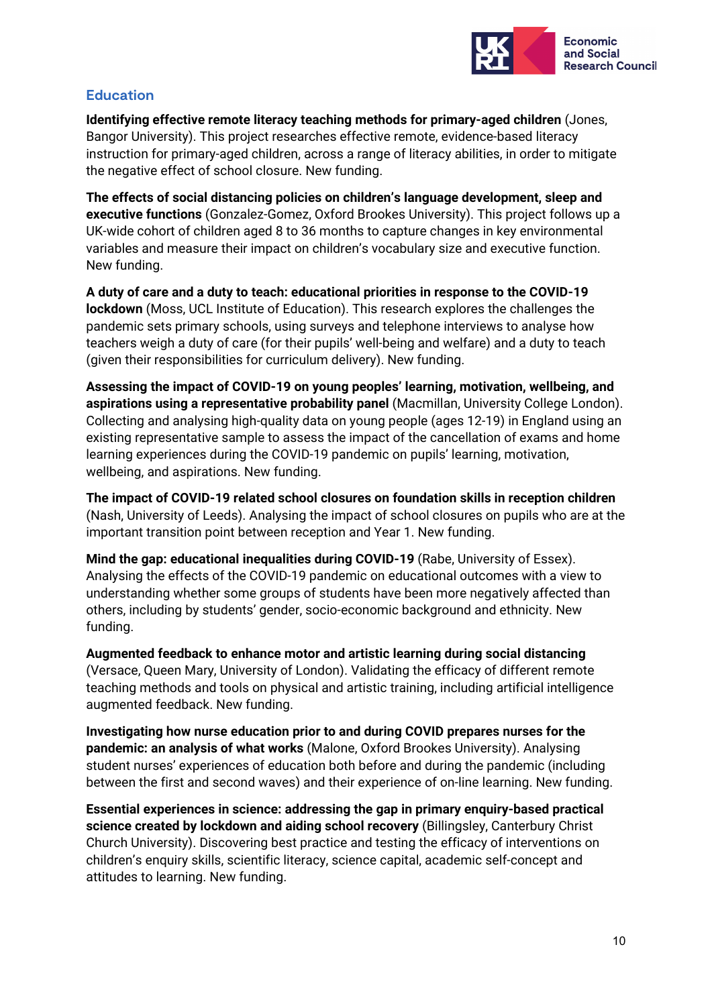

### **Education**

**Identifying effective remote literacy teaching methods for primary-aged children** (Jones, Bangor University). This project researches effective remote, evidence-based literacy instruction for primary-aged children, across a range of literacy abilities, in order to mitigate the negative effect of school closure. New funding.

**The effects of social distancing policies on children's language development, sleep and executive functions** (Gonzalez-Gomez, Oxford Brookes University). This project follows up a UK-wide cohort of children aged 8 to 36 months to capture changes in key environmental variables and measure their impact on children's vocabulary size and executive function. New funding.

**A duty of care and a duty to teach: educational priorities in response to the COVID-19 lockdown** (Moss, UCL Institute of Education). This research explores the challenges the pandemic sets primary schools, using surveys and telephone interviews to analyse how teachers weigh a duty of care (for their pupils' well-being and welfare) and a duty to teach (given their responsibilities for curriculum delivery). New funding.

**Assessing the impact of COVID-19 on young peoples' learning, motivation, wellbeing, and aspirations using a representative probability panel** (Macmillan, University College London). Collecting and analysing high-quality data on young people (ages 12-19) in England using an existing representative sample to assess the impact of the cancellation of exams and home learning experiences during the COVID-19 pandemic on pupils' learning, motivation, wellbeing, and aspirations. New funding.

**The impact of COVID-19 related school closures on foundation skills in reception children**  (Nash, University of Leeds). Analysing the impact of school closures on pupils who are at the important transition point between reception and Year 1. New funding.

**Mind the gap: educational inequalities during COVID-19** (Rabe, University of Essex). Analysing the effects of the COVID-19 pandemic on educational outcomes with a view to understanding whether some groups of students have been more negatively affected than others, including by students' gender, socio-economic background and ethnicity. New funding.

**Augmented feedback to enhance motor and artistic learning during social distancing** (Versace, Queen Mary, University of London). Validating the efficacy of different remote teaching methods and tools on physical and artistic training, including artificial intelligence augmented feedback. New funding.

**Investigating how nurse education prior to and during COVID prepares nurses for the pandemic: an analysis of what works** (Malone, Oxford Brookes University). Analysing student nurses' experiences of education both before and during the pandemic (including between the first and second waves) and their experience of on-line learning. New funding.

**Essential experiences in science: addressing the gap in primary enquiry-based practical science created by lockdown and aiding school recovery** (Billingsley, Canterbury Christ Church University). Discovering best practice and testing the efficacy of interventions on children's enquiry skills, scientific literacy, science capital, academic self-concept and attitudes to learning. New funding.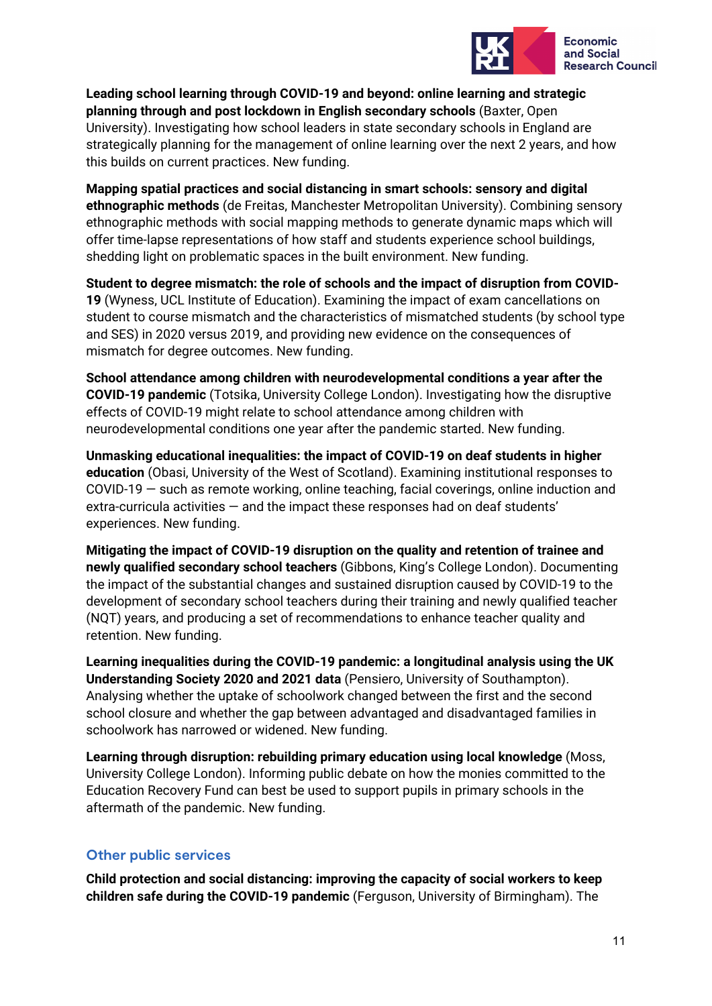

**Leading school learning through COVID-19 and beyond: online learning and strategic planning through and post lockdown in English secondary schools** (Baxter, Open University). Investigating how school leaders in state secondary schools in England are strategically planning for the management of online learning over the next 2 years, and how this builds on current practices. New funding.

**Mapping spatial practices and social distancing in smart schools: sensory and digital ethnographic methods** (de Freitas, Manchester Metropolitan University). Combining sensory ethnographic methods with social mapping methods to generate dynamic maps which will offer time-lapse representations of how staff and students experience school buildings, shedding light on problematic spaces in the built environment. New funding.

**Student to degree mismatch: the role of schools and the impact of disruption from COVID-19** (Wyness, UCL Institute of Education). Examining the impact of exam cancellations on student to course mismatch and the characteristics of mismatched students (by school type and SES) in 2020 versus 2019, and providing new evidence on the consequences of mismatch for degree outcomes. New funding.

**School attendance among children with neurodevelopmental conditions a year after the COVID-19 pandemic** (Totsika, University College London). Investigating how the disruptive effects of COVID-19 might relate to school attendance among children with neurodevelopmental conditions one year after the pandemic started. New funding.

**Unmasking educational inequalities: the impact of COVID-19 on deaf students in higher education** (Obasi, University of the West of Scotland). Examining institutional responses to COVID-19 — such as remote working, online teaching, facial coverings, online induction and extra-curricula activities — and the impact these responses had on deaf students' experiences. New funding.

**Mitigating the impact of COVID-19 disruption on the quality and retention of trainee and newly qualified secondary school teachers** (Gibbons, King's College London). Documenting the impact of the substantial changes and sustained disruption caused by COVID-19 to the development of secondary school teachers during their training and newly qualified teacher (NQT) years, and producing a set of recommendations to enhance teacher quality and retention. New funding.

**Learning inequalities during the COVID-19 pandemic: a longitudinal analysis using the UK Understanding Society 2020 and 2021 data** (Pensiero, University of Southampton). Analysing whether the uptake of schoolwork changed between the first and the second school closure and whether the gap between advantaged and disadvantaged families in schoolwork has narrowed or widened. New funding.

**Learning through disruption: rebuilding primary education using local knowledge** (Moss, University College London). Informing public debate on how the monies committed to the Education Recovery Fund can best be used to support pupils in primary schools in the aftermath of the pandemic. New funding.

### **Other public services**

**Child protection and social distancing: improving the capacity of social workers to keep children safe during the COVID-19 pandemic** (Ferguson, University of Birmingham). The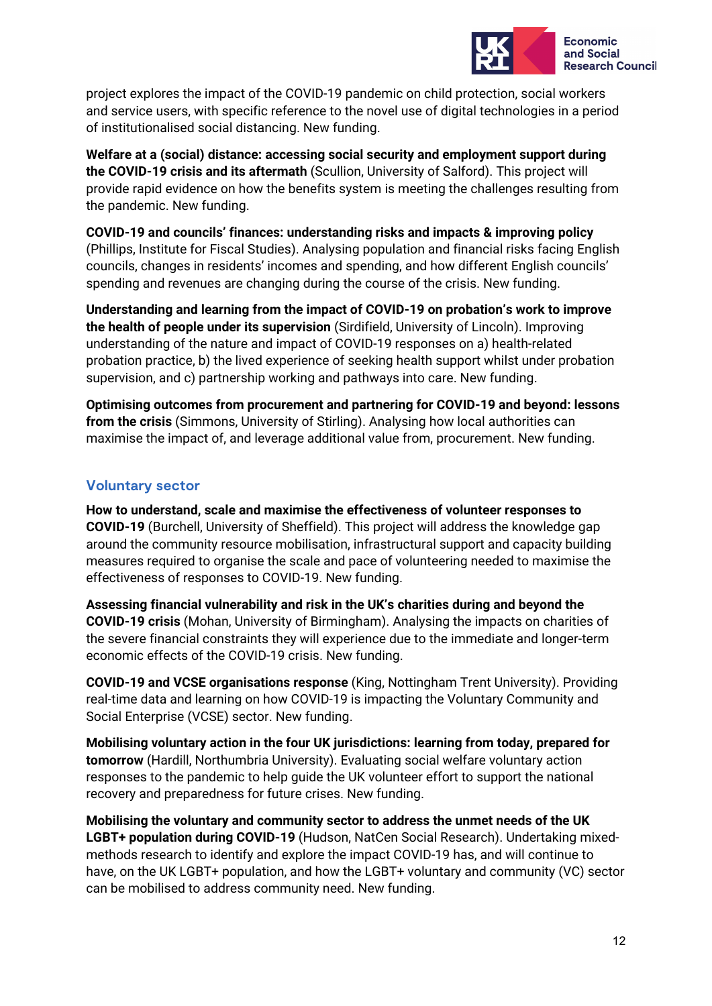

project explores the impact of the COVID-19 pandemic on child protection, social workers and service users, with specific reference to the novel use of digital technologies in a period of institutionalised social distancing. New funding.

**Welfare at a (social) distance: accessing social security and employment support during the COVID-19 crisis and its aftermath** (Scullion, University of Salford). This project will provide rapid evidence on how the benefits system is meeting the challenges resulting from the pandemic. New funding.

**COVID-19 and councils' finances: understanding risks and impacts & improving policy**  (Phillips, Institute for Fiscal Studies). Analysing population and financial risks facing English councils, changes in residents' incomes and spending, and how different English councils' spending and revenues are changing during the course of the crisis. New funding.

**Understanding and learning from the impact of COVID-19 on probation's work to improve the health of people under its supervision** (Sirdifield, University of Lincoln). Improving understanding of the nature and impact of COVID-19 responses on a) health-related probation practice, b) the lived experience of seeking health support whilst under probation supervision, and c) partnership working and pathways into care. New funding.

**Optimising outcomes from procurement and partnering for COVID-19 and beyond: lessons from the crisis** (Simmons, University of Stirling). Analysing how local authorities can maximise the impact of, and leverage additional value from, procurement. New funding.

### **Voluntary sector**

**How to understand, scale and maximise the effectiveness of volunteer responses to COVID-19** (Burchell, University of Sheffield). This project will address the knowledge gap around the community resource mobilisation, infrastructural support and capacity building measures required to organise the scale and pace of volunteering needed to maximise the effectiveness of responses to COVID-19. New funding.

**Assessing financial vulnerability and risk in the UK's charities during and beyond the COVID-19 crisis** (Mohan, University of Birmingham). Analysing the impacts on charities of the severe financial constraints they will experience due to the immediate and longer-term economic effects of the COVID-19 crisis. New funding.

**COVID-19 and VCSE organisations response** (King, Nottingham Trent University). Providing real-time data and learning on how COVID-19 is impacting the Voluntary Community and Social Enterprise (VCSE) sector. New funding.

**Mobilising voluntary action in the four UK jurisdictions: learning from today, prepared for tomorrow** (Hardill, Northumbria University). Evaluating social welfare voluntary action responses to the pandemic to help guide the UK volunteer effort to support the national recovery and preparedness for future crises. New funding.

**Mobilising the voluntary and community sector to address the unmet needs of the UK LGBT+ population during COVID-19** (Hudson, NatCen Social Research). Undertaking mixedmethods research to identify and explore the impact COVID-19 has, and will continue to have, on the UK LGBT+ population, and how the LGBT+ voluntary and community (VC) sector can be mobilised to address community need. New funding.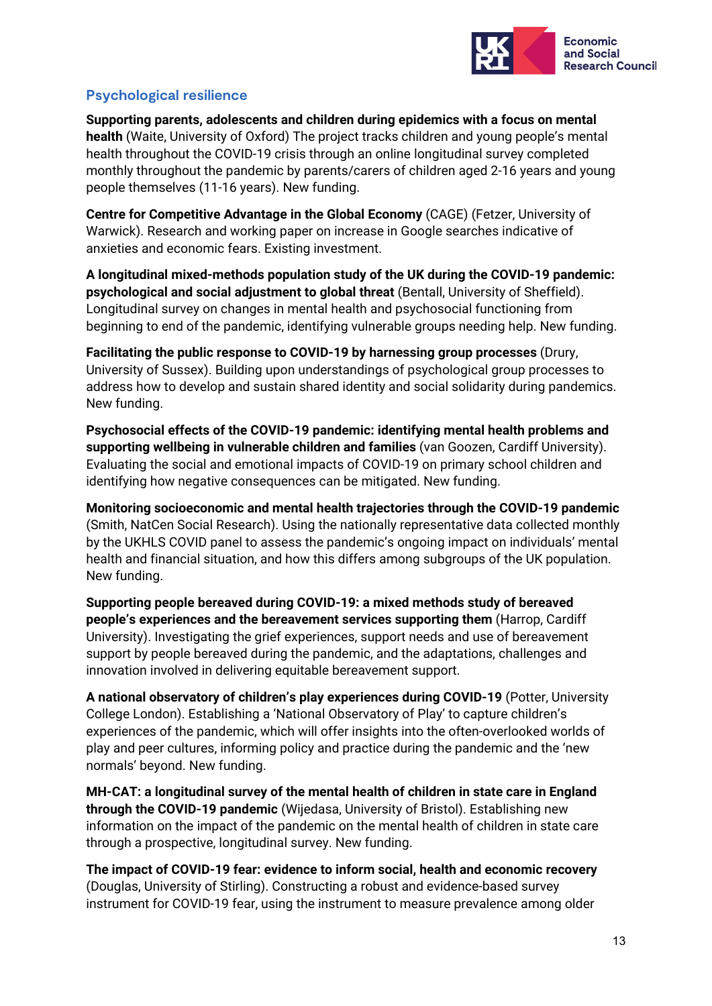

### **Psychological resilience**

**Supporting parents, adolescents and children during epidemics with a focus on mental health** (Waite, University of Oxford) The project tracks children and young people's mental health throughout the COVID-19 crisis through an online longitudinal survey completed monthly throughout the pandemic by parents/carers of children aged 2-16 years and young people themselves (11-16 years). New funding.

**Centre for Competitive Advantage in the Global Economy** (CAGE) (Fetzer, University of Warwick). Research and working paper on increase in Google searches indicative of anxieties and economic fears. Existing investment.

**A longitudinal mixed-methods population study of the UK during the COVID-19 pandemic: psychological and social adjustment to global threat** (Bentall, University of Sheffield). Longitudinal survey on changes in mental health and psychosocial functioning from beginning to end of the pandemic, identifying vulnerable groups needing help. New funding.

**Facilitating the public response to COVID-19 by harnessing group processes** (Drury, University of Sussex). Building upon understandings of psychological group processes to address how to develop and sustain shared identity and social solidarity during pandemics. New funding.

**Psychosocial effects of the COVID-19 pandemic: identifying mental health problems and supporting wellbeing in vulnerable children and families** (van Goozen, Cardiff University). Evaluating the social and emotional impacts of COVID-19 on primary school children and identifying how negative consequences can be mitigated. New funding.

**Monitoring socioeconomic and mental health trajectories through the COVID-19 pandemic** (Smith, NatCen Social Research). Using the nationally representative data collected monthly by the UKHLS COVID panel to assess the pandemic's ongoing impact on individuals' mental health and financial situation, and how this differs among subgroups of the UK population. New funding.

**Supporting people bereaved during COVID-19: a mixed methods study of bereaved people's experiences and the bereavement services supporting them** (Harrop, Cardiff University). Investigating the grief experiences, support needs and use of bereavement support by people bereaved during the pandemic, and the adaptations, challenges and innovation involved in delivering equitable bereavement support.

**A national observatory of children's play experiences during COVID-19** (Potter, University College London). Establishing a 'National Observatory of Play' to capture children's experiences of the pandemic, which will offer insights into the often-overlooked worlds of play and peer cultures, informing policy and practice during the pandemic and the 'new normals' beyond. New funding.

**MH-CAT: a longitudinal survey of the mental health of children in state care in England through the COVID-19 pandemic** (Wijedasa, University of Bristol). Establishing new information on the impact of the pandemic on the mental health of children in state care through a prospective, longitudinal survey. New funding.

**The impact of COVID-19 fear: evidence to inform social, health and economic recovery** (Douglas, University of Stirling). Constructing a robust and evidence-based survey instrument for COVID-19 fear, using the instrument to measure prevalence among older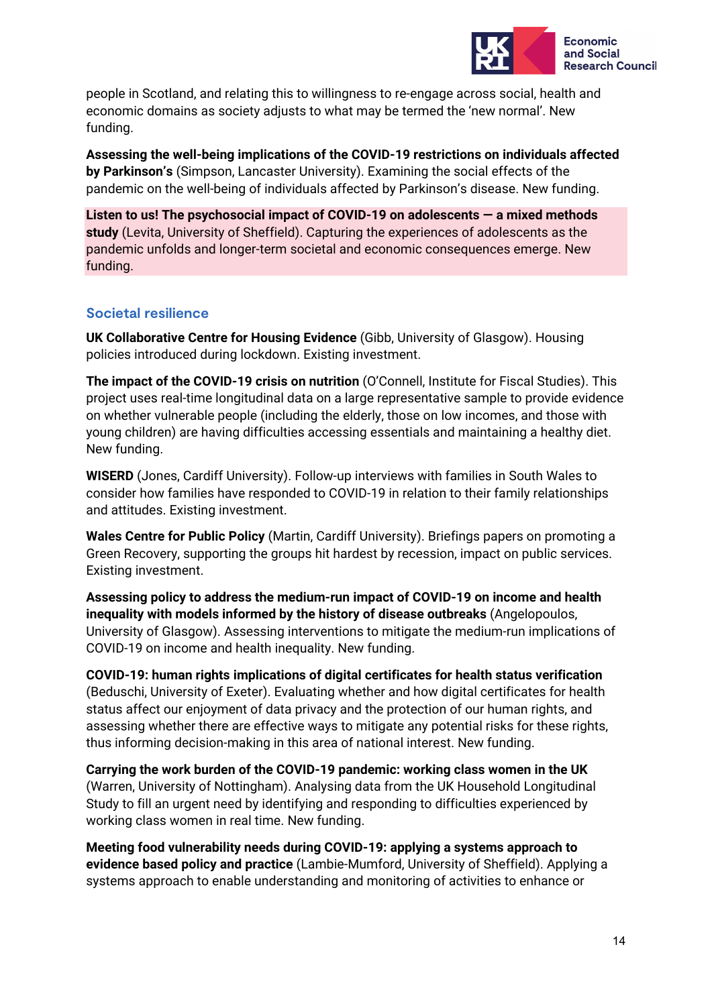

people in Scotland, and relating this to willingness to re-engage across social, health and economic domains as society adjusts to what may be termed the 'new normal'. New funding.

**Assessing the well-being implications of the COVID-19 restrictions on individuals affected by Parkinson's** (Simpson, Lancaster University). Examining the social effects of the pandemic on the well-being of individuals affected by Parkinson's disease. New funding.

**Listen to us! The psychosocial impact of COVID-19 on adolescents — a mixed methods study** (Levita, University of Sheffield). Capturing the experiences of adolescents as the pandemic unfolds and longer-term societal and economic consequences emerge. New funding.

### **Societal resilience**

**UK Collaborative Centre for Housing Evidence** (Gibb, University of Glasgow). Housing policies introduced during lockdown. Existing investment.

**The impact of the COVID-19 crisis on nutrition** (O'Connell, Institute for Fiscal Studies). This project uses real-time longitudinal data on a large representative sample to provide evidence on whether vulnerable people (including the elderly, those on low incomes, and those with young children) are having difficulties accessing essentials and maintaining a healthy diet. New funding.

**WISERD** (Jones, Cardiff University). Follow-up interviews with families in South Wales to consider how families have responded to COVID-19 in relation to their family relationships and attitudes. Existing investment.

**Wales Centre for Public Policy** (Martin, Cardiff University). Briefings papers on promoting a Green Recovery, supporting the groups hit hardest by recession, impact on public services. Existing investment.

**Assessing policy to address the medium-run impact of COVID-19 on income and health inequality with models informed by the history of disease outbreaks** (Angelopoulos, University of Glasgow). Assessing interventions to mitigate the medium-run implications of COVID-19 on income and health inequality. New funding.

**COVID-19: human rights implications of digital certificates for health status verification** (Beduschi, University of Exeter). Evaluating whether and how digital certificates for health status affect our enjoyment of data privacy and the protection of our human rights, and assessing whether there are effective ways to mitigate any potential risks for these rights, thus informing decision-making in this area of national interest. New funding.

**Carrying the work burden of the COVID-19 pandemic: working class women in the UK** (Warren, University of Nottingham). Analysing data from the UK Household Longitudinal Study to fill an urgent need by identifying and responding to difficulties experienced by working class women in real time. New funding.

**Meeting food vulnerability needs during COVID-19: applying a systems approach to evidence based policy and practice** (Lambie-Mumford, University of Sheffield). Applying a systems approach to enable understanding and monitoring of activities to enhance or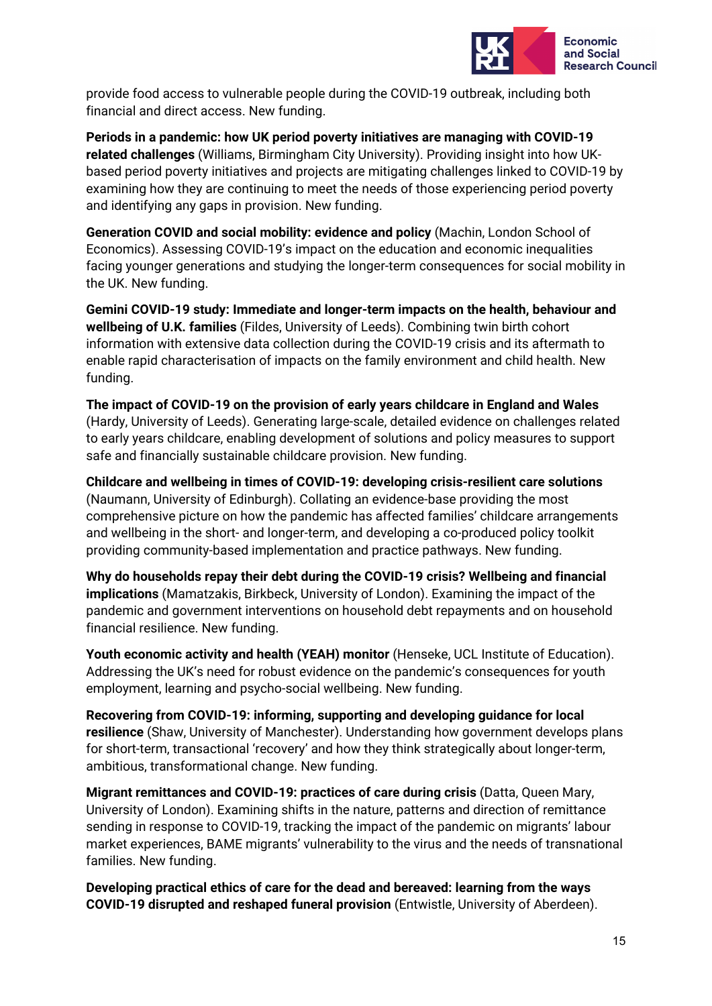

provide food access to vulnerable people during the COVID-19 outbreak, including both financial and direct access. New funding.

**Periods in a pandemic: how UK period poverty initiatives are managing with COVID-19 related challenges** (Williams, Birmingham City University). Providing insight into how UKbased period poverty initiatives and projects are mitigating challenges linked to COVID-19 by examining how they are continuing to meet the needs of those experiencing period poverty and identifying any gaps in provision. New funding.

**Generation COVID and social mobility: evidence and policy** (Machin, London School of Economics). Assessing COVID-19's impact on the education and economic inequalities facing younger generations and studying the longer-term consequences for social mobility in the UK. New funding.

**Gemini COVID-19 study: Immediate and longer-term impacts on the health, behaviour and wellbeing of U.K. families** (Fildes, University of Leeds). Combining twin birth cohort information with extensive data collection during the COVID-19 crisis and its aftermath to enable rapid characterisation of impacts on the family environment and child health. New funding.

**The impact of COVID-19 on the provision of early years childcare in England and Wales**  (Hardy, University of Leeds). Generating large-scale, detailed evidence on challenges related to early years childcare, enabling development of solutions and policy measures to support safe and financially sustainable childcare provision. New funding.

**Childcare and wellbeing in times of COVID-19: developing crisis-resilient care solutions** (Naumann, University of Edinburgh). Collating an evidence-base providing the most comprehensive picture on how the pandemic has affected families' childcare arrangements and wellbeing in the short- and longer-term, and developing a co-produced policy toolkit providing community-based implementation and practice pathways. New funding.

**Why do households repay their debt during the COVID-19 crisis? Wellbeing and financial implications** (Mamatzakis, Birkbeck, University of London). Examining the impact of the pandemic and government interventions on household debt repayments and on household financial resilience. New funding.

**Youth economic activity and health (YEAH) monitor** (Henseke, UCL Institute of Education). Addressing the UK's need for robust evidence on the pandemic's consequences for youth employment, learning and psycho-social wellbeing. New funding.

**Recovering from COVID-19: informing, supporting and developing guidance for local resilience** (Shaw, University of Manchester). Understanding how government develops plans for short-term, transactional 'recovery' and how they think strategically about longer-term, ambitious, transformational change. New funding.

**Migrant remittances and COVID-19: practices of care during crisis** (Datta, Queen Mary, University of London). Examining shifts in the nature, patterns and direction of remittance sending in response to COVID-19, tracking the impact of the pandemic on migrants' labour market experiences, BAME migrants' vulnerability to the virus and the needs of transnational families. New funding.

**Developing practical ethics of care for the dead and bereaved: learning from the ways COVID-19 disrupted and reshaped funeral provision** (Entwistle, University of Aberdeen).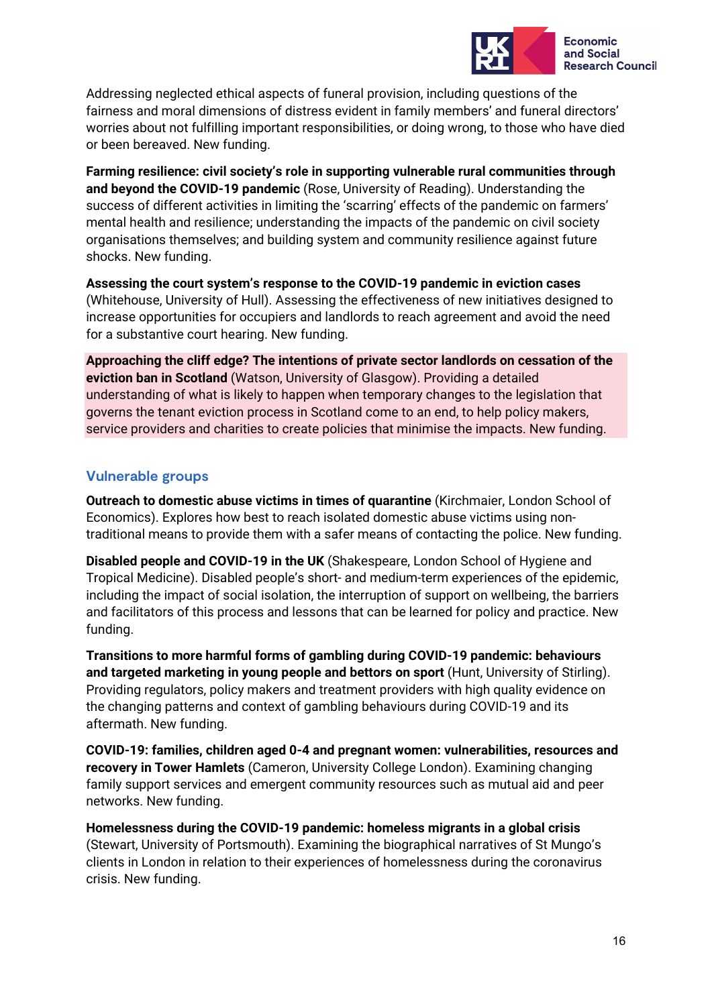

Addressing neglected ethical aspects of funeral provision, including questions of the fairness and moral dimensions of distress evident in family members' and funeral directors' worries about not fulfilling important responsibilities, or doing wrong, to those who have died or been bereaved. New funding.

**Farming resilience: civil society's role in supporting vulnerable rural communities through and beyond the COVID-19 pandemic** (Rose, University of Reading). Understanding the success of different activities in limiting the 'scarring' effects of the pandemic on farmers' mental health and resilience; understanding the impacts of the pandemic on civil society organisations themselves; and building system and community resilience against future shocks. New funding.

**Assessing the court system's response to the COVID-19 pandemic in eviction cases** (Whitehouse, University of Hull). Assessing the effectiveness of new initiatives designed to increase opportunities for occupiers and landlords to reach agreement and avoid the need for a substantive court hearing. New funding.

**Approaching the cliff edge? The intentions of private sector landlords on cessation of the eviction ban in Scotland** (Watson, University of Glasgow). Providing a detailed understanding of what is likely to happen when temporary changes to the legislation that governs the tenant eviction process in Scotland come to an end, to help policy makers, service providers and charities to create policies that minimise the impacts. New funding.

### **Vulnerable groups**

**Outreach to domestic abuse victims in times of quarantine** (Kirchmaier, London School of Economics). Explores how best to reach isolated domestic abuse victims using nontraditional means to provide them with a safer means of contacting the police. New funding.

**Disabled people and COVID-19 in the UK** (Shakespeare, London School of Hygiene and Tropical Medicine). Disabled people's short- and medium-term experiences of the epidemic, including the impact of social isolation, the interruption of support on wellbeing, the barriers and facilitators of this process and lessons that can be learned for policy and practice. New funding.

**Transitions to more harmful forms of gambling during COVID-19 pandemic: behaviours and targeted marketing in young people and bettors on sport** (Hunt, University of Stirling). Providing regulators, policy makers and treatment providers with high quality evidence on the changing patterns and context of gambling behaviours during COVID-19 and its aftermath. New funding.

**COVID-19: families, children aged 0-4 and pregnant women: vulnerabilities, resources and recovery in Tower Hamlets** (Cameron, University College London). Examining changing family support services and emergent community resources such as mutual aid and peer networks. New funding.

**Homelessness during the COVID-19 pandemic: homeless migrants in a global crisis** (Stewart, University of Portsmouth). Examining the biographical narratives of St Mungo's clients in London in relation to their experiences of homelessness during the coronavirus crisis. New funding.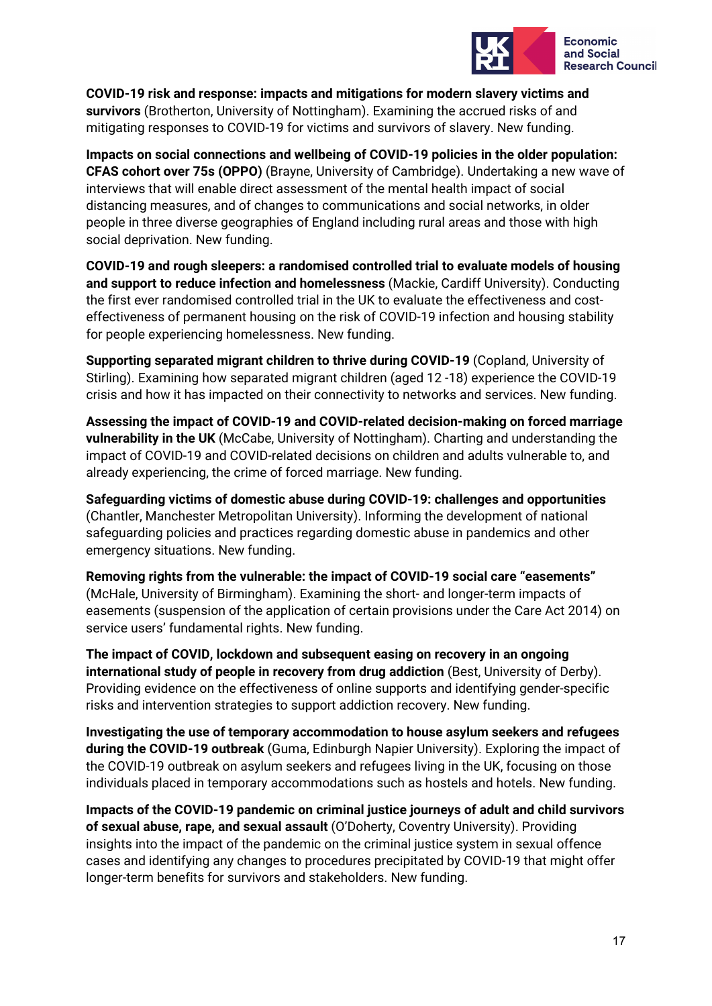

**COVID-19 risk and response: impacts and mitigations for modern slavery victims and survivors** (Brotherton, University of Nottingham). Examining the accrued risks of and mitigating responses to COVID-19 for victims and survivors of slavery. New funding.

**Impacts on social connections and wellbeing of COVID-19 policies in the older population: CFAS cohort over 75s (OPPO)** (Brayne, University of Cambridge). Undertaking a new wave of interviews that will enable direct assessment of the mental health impact of social distancing measures, and of changes to communications and social networks, in older people in three diverse geographies of England including rural areas and those with high social deprivation. New funding.

**COVID-19 and rough sleepers: a randomised controlled trial to evaluate models of housing and support to reduce infection and homelessness** (Mackie, Cardiff University). Conducting the first ever randomised controlled trial in the UK to evaluate the effectiveness and costeffectiveness of permanent housing on the risk of COVID-19 infection and housing stability for people experiencing homelessness. New funding.

**Supporting separated migrant children to thrive during COVID-19** (Copland, University of Stirling). Examining how separated migrant children (aged 12 -18) experience the COVID-19 crisis and how it has impacted on their connectivity to networks and services. New funding.

**Assessing the impact of COVID-19 and COVID-related decision-making on forced marriage vulnerability in the UK** (McCabe, University of Nottingham). Charting and understanding the impact of COVID-19 and COVID-related decisions on children and adults vulnerable to, and already experiencing, the crime of forced marriage. New funding.

**Safeguarding victims of domestic abuse during COVID-19: challenges and opportunities**  (Chantler, Manchester Metropolitan University). Informing the development of national safeguarding policies and practices regarding domestic abuse in pandemics and other emergency situations. New funding.

**Removing rights from the vulnerable: the impact of COVID-19 social care "easements"**  (McHale, University of Birmingham). Examining the short- and longer-term impacts of easements (suspension of the application of certain provisions under the Care Act 2014) on service users' fundamental rights. New funding.

**The impact of COVID, lockdown and subsequent easing on recovery in an ongoing international study of people in recovery from drug addiction** (Best, University of Derby). Providing evidence on the effectiveness of online supports and identifying gender-specific risks and intervention strategies to support addiction recovery. New funding.

**Investigating the use of temporary accommodation to house asylum seekers and refugees during the COVID-19 outbreak** (Guma, Edinburgh Napier University). Exploring the impact of the COVID-19 outbreak on asylum seekers and refugees living in the UK, focusing on those individuals placed in temporary accommodations such as hostels and hotels. New funding.

**Impacts of the COVID-19 pandemic on criminal justice journeys of adult and child survivors of sexual abuse, rape, and sexual assault** (O'Doherty, Coventry University). Providing insights into the impact of the pandemic on the criminal justice system in sexual offence cases and identifying any changes to procedures precipitated by COVID-19 that might offer longer-term benefits for survivors and stakeholders. New funding.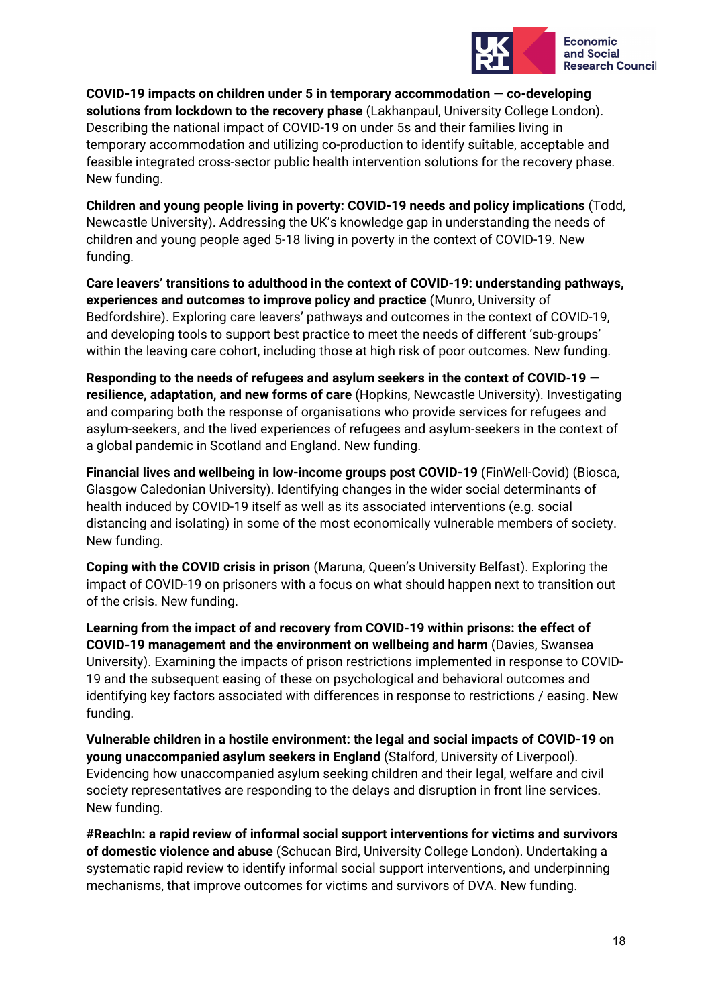

**COVID-19 impacts on children under 5 in temporary accommodation — co-developing solutions from lockdown to the recovery phase** (Lakhanpaul, University College London). Describing the national impact of COVID-19 on under 5s and their families living in temporary accommodation and utilizing co-production to identify suitable, acceptable and feasible integrated cross-sector public health intervention solutions for the recovery phase. New funding.

**Children and young people living in poverty: COVID-19 needs and policy implications** (Todd, Newcastle University). Addressing the UK's knowledge gap in understanding the needs of children and young people aged 5-18 living in poverty in the context of COVID-19. New funding.

**Care leavers' transitions to adulthood in the context of COVID-19: understanding pathways, experiences and outcomes to improve policy and practice** (Munro, University of Bedfordshire). Exploring care leavers' pathways and outcomes in the context of COVID-19, and developing tools to support best practice to meet the needs of different 'sub-groups' within the leaving care cohort, including those at high risk of poor outcomes. New funding.

**Responding to the needs of refugees and asylum seekers in the context of COVID-19 resilience, adaptation, and new forms of care** (Hopkins, Newcastle University). Investigating and comparing both the response of organisations who provide services for refugees and asylum-seekers, and the lived experiences of refugees and asylum-seekers in the context of a global pandemic in Scotland and England. New funding.

**Financial lives and wellbeing in low-income groups post COVID-19** (FinWell-Covid) (Biosca, Glasgow Caledonian University). Identifying changes in the wider social determinants of health induced by COVID-19 itself as well as its associated interventions (e.g. social distancing and isolating) in some of the most economically vulnerable members of society. New funding.

**Coping with the COVID crisis in prison** (Maruna, Queen's University Belfast). Exploring the impact of COVID-19 on prisoners with a focus on what should happen next to transition out of the crisis. New funding.

**Learning from the impact of and recovery from COVID-19 within prisons: the effect of COVID-19 management and the environment on wellbeing and harm** (Davies, Swansea University). Examining the impacts of prison restrictions implemented in response to COVID-19 and the subsequent easing of these on psychological and behavioral outcomes and identifying key factors associated with differences in response to restrictions / easing. New funding.

**Vulnerable children in a hostile environment: the legal and social impacts of COVID-19 on young unaccompanied asylum seekers in England** (Stalford, University of Liverpool). Evidencing how unaccompanied asylum seeking children and their legal, welfare and civil society representatives are responding to the delays and disruption in front line services. New funding.

**#ReachIn: a rapid review of informal social support interventions for victims and survivors of domestic violence and abuse** (Schucan Bird, University College London). Undertaking a systematic rapid review to identify informal social support interventions, and underpinning mechanisms, that improve outcomes for victims and survivors of DVA. New funding.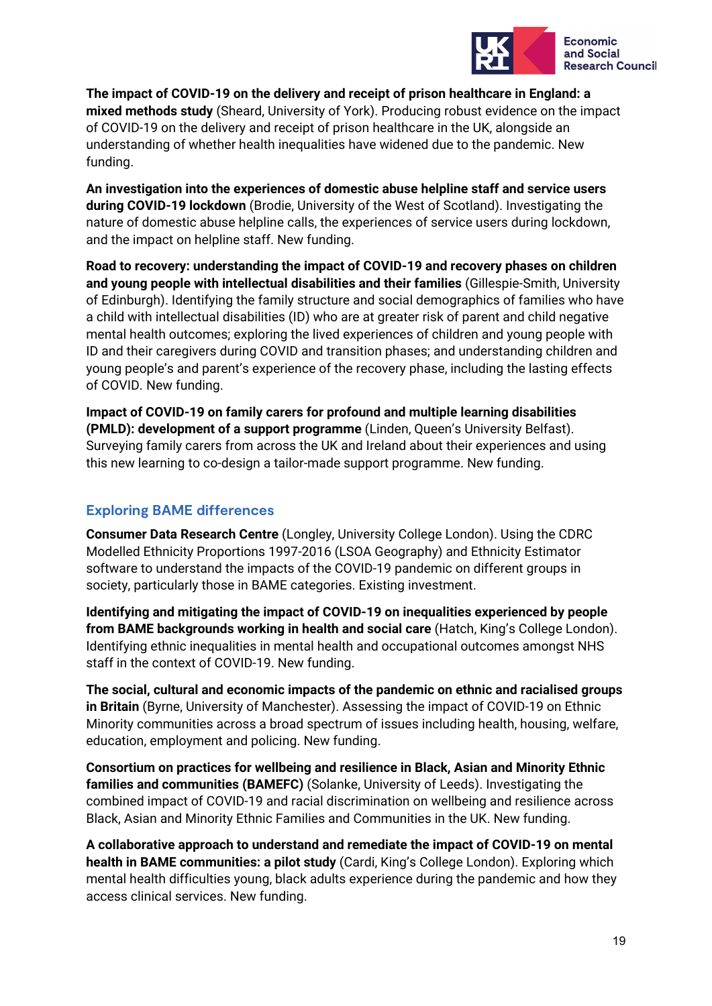

**The impact of COVID-19 on the delivery and receipt of prison healthcare in England: a mixed methods study** (Sheard, University of York). Producing robust evidence on the impact of COVID-19 on the delivery and receipt of prison healthcare in the UK, alongside an understanding of whether health inequalities have widened due to the pandemic. New funding.

**An investigation into the experiences of domestic abuse helpline staff and service users during COVID-19 lockdown** (Brodie, University of the West of Scotland). Investigating the nature of domestic abuse helpline calls, the experiences of service users during lockdown, and the impact on helpline staff. New funding.

**Road to recovery: understanding the impact of COVID-19 and recovery phases on children and young people with intellectual disabilities and their families** (Gillespie-Smith, University of Edinburgh). Identifying the family structure and social demographics of families who have a child with intellectual disabilities (ID) who are at greater risk of parent and child negative mental health outcomes; exploring the lived experiences of children and young people with ID and their caregivers during COVID and transition phases; and understanding children and young people's and parent's experience of the recovery phase, including the lasting effects of COVID. New funding.

**Impact of COVID-19 on family carers for profound and multiple learning disabilities (PMLD): development of a support programme** (Linden, Queen's University Belfast). Surveying family carers from across the UK and Ireland about their experiences and using this new learning to co-design a tailor-made support programme. New funding.

### **Exploring BAME differences**

**Consumer Data Research Centre** (Longley, University College London). Using the CDRC Modelled Ethnicity Proportions 1997-2016 (LSOA Geography) and Ethnicity Estimator software to understand the impacts of the COVID-19 pandemic on different groups in society, particularly those in BAME categories. Existing investment.

**Identifying and mitigating the impact of COVID-19 on inequalities experienced by people from BAME backgrounds working in health and social care** (Hatch, King's College London). Identifying ethnic inequalities in mental health and occupational outcomes amongst NHS staff in the context of COVID-19. New funding.

**The social, cultural and economic impacts of the pandemic on ethnic and racialised groups in Britain** (Byrne, University of Manchester). Assessing the impact of COVID-19 on Ethnic Minority communities across a broad spectrum of issues including health, housing, welfare, education, employment and policing. New funding.

**Consortium on practices for wellbeing and resilience in Black, Asian and Minority Ethnic families and communities (BAMEFC)** (Solanke, University of Leeds). Investigating the combined impact of COVID-19 and racial discrimination on wellbeing and resilience across Black, Asian and Minority Ethnic Families and Communities in the UK. New funding.

**A collaborative approach to understand and remediate the impact of COVID-19 on mental health in BAME communities: a pilot study** (Cardi, King's College London). Exploring which mental health difficulties young, black adults experience during the pandemic and how they access clinical services. New funding.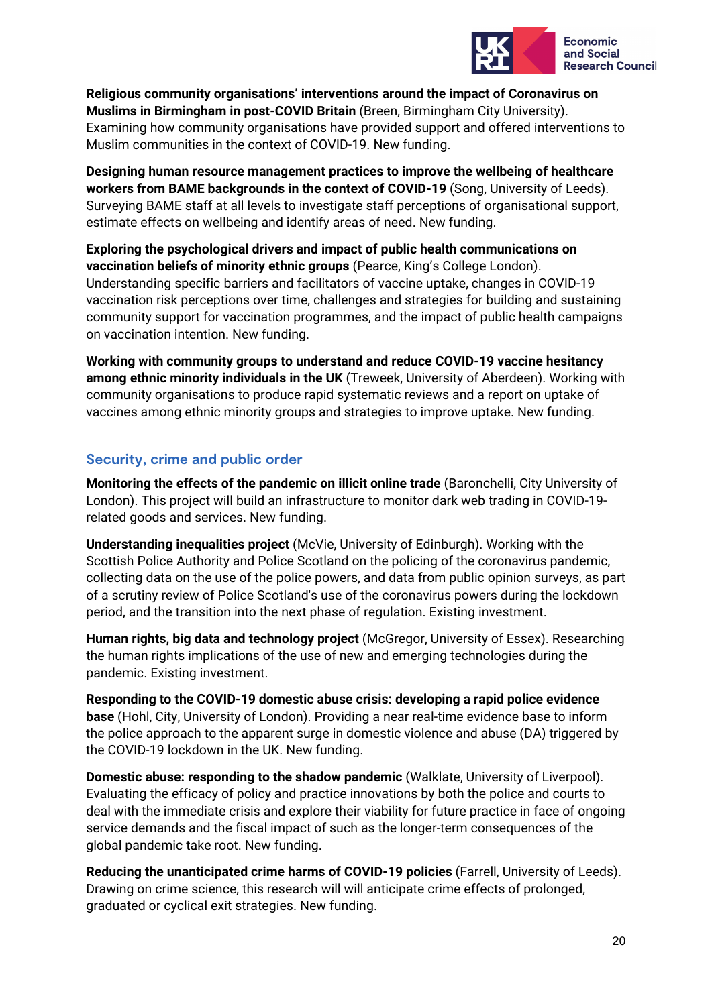

**Religious community organisations' interventions around the impact of Coronavirus on Muslims in Birmingham in post-COVID Britain** (Breen, Birmingham City University). Examining how community organisations have provided support and offered interventions to Muslim communities in the context of COVID-19. New funding.

**Designing human resource management practices to improve the wellbeing of healthcare workers from BAME backgrounds in the context of COVID-19** (Song, University of Leeds). Surveying BAME staff at all levels to investigate staff perceptions of organisational support, estimate effects on wellbeing and identify areas of need. New funding.

**Exploring the psychological drivers and impact of public health communications on vaccination beliefs of minority ethnic groups** (Pearce, King's College London). Understanding specific barriers and facilitators of vaccine uptake, changes in COVID-19 vaccination risk perceptions over time, challenges and strategies for building and sustaining community support for vaccination programmes, and the impact of public health campaigns on vaccination intention. New funding.

**Working with community groups to understand and reduce COVID-19 vaccine hesitancy among ethnic minority individuals in the UK** (Treweek, University of Aberdeen). Working with community organisations to produce rapid systematic reviews and a report on uptake of vaccines among ethnic minority groups and strategies to improve uptake. New funding.

### **Security, crime and public order**

**Monitoring the effects of the pandemic on illicit online trade** (Baronchelli, City University of London). This project will build an infrastructure to monitor dark web trading in COVID-19 related goods and services. New funding.

**Understanding inequalities project** (McVie, University of Edinburgh). Working with the Scottish Police Authority and Police Scotland on the policing of the coronavirus pandemic, collecting data on the use of the police powers, and data from public opinion surveys, as part of a scrutiny review of Police Scotland's use of the coronavirus powers during the lockdown period, and the transition into the next phase of regulation. Existing investment.

**Human rights, big data and technology project** (McGregor, University of Essex). Researching the human rights implications of the use of new and emerging technologies during the pandemic. Existing investment.

**Responding to the COVID-19 domestic abuse crisis: developing a rapid police evidence base** (Hohl, City, University of London). Providing a near real-time evidence base to inform the police approach to the apparent surge in domestic violence and abuse (DA) triggered by the COVID-19 lockdown in the UK. New funding.

**Domestic abuse: responding to the shadow pandemic** (Walklate, University of Liverpool). Evaluating the efficacy of policy and practice innovations by both the police and courts to deal with the immediate crisis and explore their viability for future practice in face of ongoing service demands and the fiscal impact of such as the longer-term consequences of the global pandemic take root. New funding.

**Reducing the unanticipated crime harms of COVID-19 policies** (Farrell, University of Leeds). Drawing on crime science, this research will will anticipate crime effects of prolonged, graduated or cyclical exit strategies. New funding.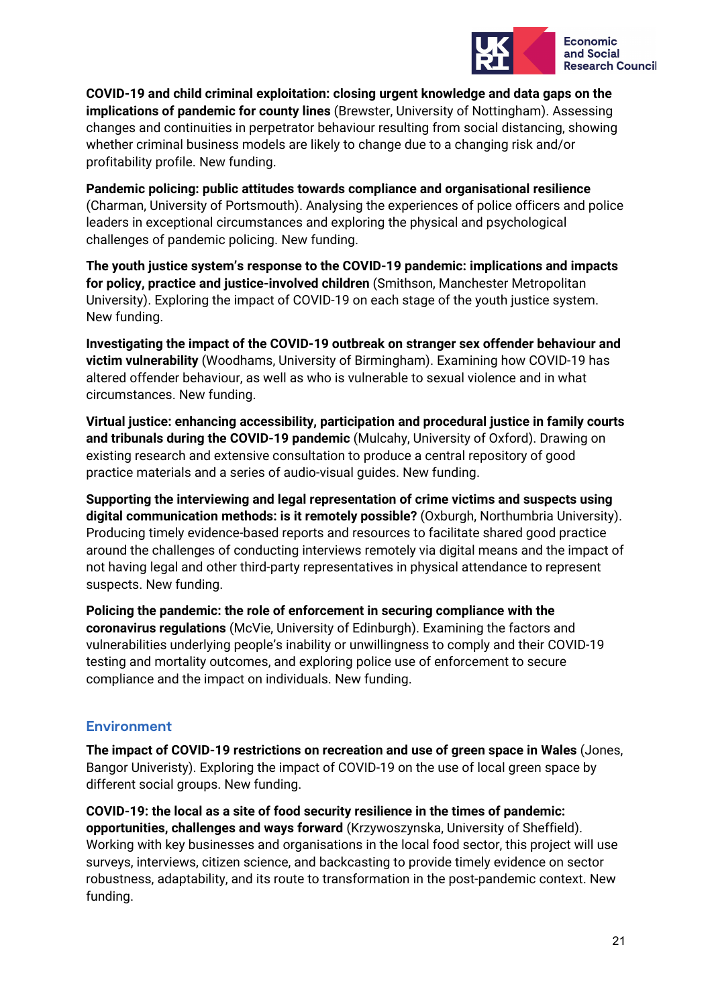

**COVID-19 and child criminal exploitation: closing urgent knowledge and data gaps on the implications of pandemic for county lines** (Brewster, University of Nottingham). Assessing changes and continuities in perpetrator behaviour resulting from social distancing, showing whether criminal business models are likely to change due to a changing risk and/or profitability profile. New funding.

**Pandemic policing: public attitudes towards compliance and organisational resilience** (Charman, University of Portsmouth). Analysing the experiences of police officers and police leaders in exceptional circumstances and exploring the physical and psychological challenges of pandemic policing. New funding.

**The youth justice system's response to the COVID-19 pandemic: implications and impacts for policy, practice and justice-involved children** (Smithson, Manchester Metropolitan University). Exploring the impact of COVID-19 on each stage of the youth justice system. New funding.

**Investigating the impact of the COVID-19 outbreak on stranger sex offender behaviour and victim vulnerability** (Woodhams, University of Birmingham). Examining how COVID-19 has altered offender behaviour, as well as who is vulnerable to sexual violence and in what circumstances. New funding.

**Virtual justice: enhancing accessibility, participation and procedural justice in family courts and tribunals during the COVID-19 pandemic** (Mulcahy, University of Oxford). Drawing on existing research and extensive consultation to produce a central repository of good practice materials and a series of audio-visual guides. New funding.

**Supporting the interviewing and legal representation of crime victims and suspects using digital communication methods: is it remotely possible?** (Oxburgh, Northumbria University). Producing timely evidence-based reports and resources to facilitate shared good practice around the challenges of conducting interviews remotely via digital means and the impact of not having legal and other third-party representatives in physical attendance to represent suspects. New funding.

**Policing the pandemic: the role of enforcement in securing compliance with the coronavirus regulations** (McVie, University of Edinburgh). Examining the factors and vulnerabilities underlying people's inability or unwillingness to comply and their COVID-19 testing and mortality outcomes, and exploring police use of enforcement to secure compliance and the impact on individuals. New funding.

### **Environment**

**The impact of COVID-19 restrictions on recreation and use of green space in Wales** (Jones, Bangor Univeristy). Exploring the impact of COVID-19 on the use of local green space by different social groups. New funding.

**COVID-19: the local as a site of food security resilience in the times of pandemic: opportunities, challenges and ways forward** (Krzywoszynska, University of Sheffield). Working with key businesses and organisations in the local food sector, this project will use surveys, interviews, citizen science, and backcasting to provide timely evidence on sector robustness, adaptability, and its route to transformation in the post-pandemic context. New funding.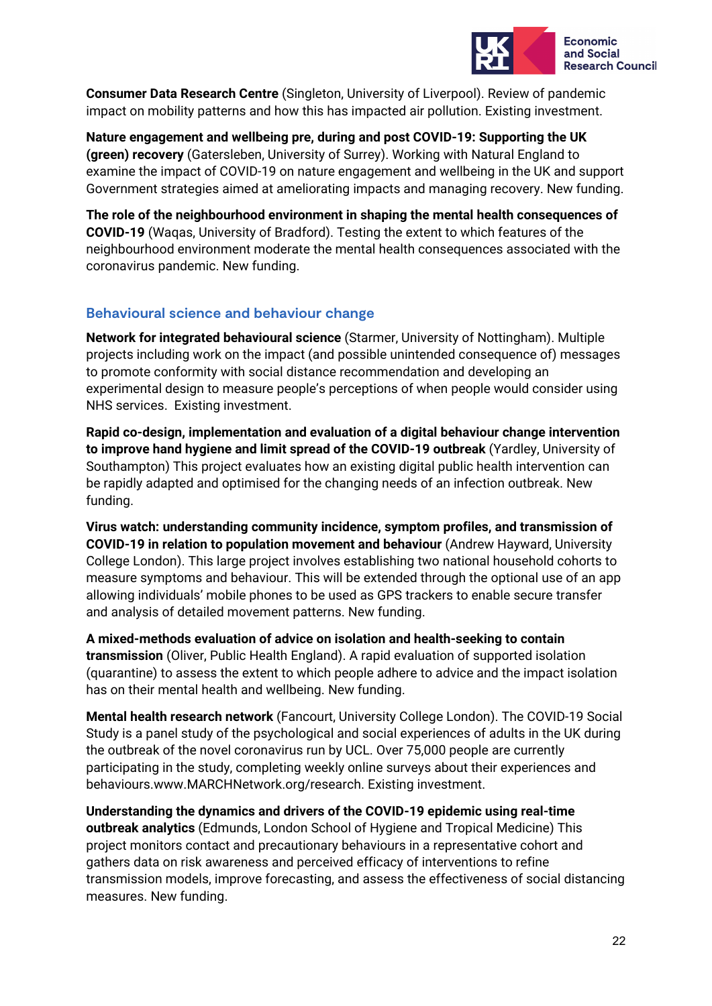

**Consumer Data Research Centre** (Singleton, University of Liverpool). Review of pandemic impact on mobility patterns and how this has impacted air pollution. Existing investment.

**Nature engagement and wellbeing pre, during and post COVID-19: Supporting the UK (green) recovery** (Gatersleben, University of Surrey). Working with Natural England to examine the impact of COVID-19 on nature engagement and wellbeing in the UK and support Government strategies aimed at ameliorating impacts and managing recovery. New funding.

**The role of the neighbourhood environment in shaping the mental health consequences of COVID-19** (Waqas, University of Bradford). Testing the extent to which features of the neighbourhood environment moderate the mental health consequences associated with the coronavirus pandemic. New funding.

### **Behavioural science and behaviour change**

**Network for integrated behavioural science** (Starmer, University of Nottingham). Multiple projects including work on the impact (and possible unintended consequence of) messages to promote conformity with social distance recommendation and developing an experimental design to measure people's perceptions of when people would consider using NHS services. Existing investment.

**Rapid co-design, implementation and evaluation of a digital behaviour change intervention to improve hand hygiene and limit spread of the COVID-19 outbreak** (Yardley, University of Southampton) This project evaluates how an existing digital public health intervention can be rapidly adapted and optimised for the changing needs of an infection outbreak. New funding.

**Virus watch: understanding community incidence, symptom profiles, and transmission of COVID-19 in relation to population movement and behaviour** (Andrew Hayward, University College London). This large project involves establishing two national household cohorts to measure symptoms and behaviour. This will be extended through the optional use of an app allowing individuals' mobile phones to be used as GPS trackers to enable secure transfer and analysis of detailed movement patterns. New funding.

**A mixed-methods evaluation of advice on isolation and health-seeking to contain transmission** (Oliver, Public Health England). A rapid evaluation of supported isolation (quarantine) to assess the extent to which people adhere to advice and the impact isolation has on their mental health and wellbeing. New funding.

**Mental health research network** (Fancourt, University College London). The COVID-19 Social Study is a panel study of the psychological and social experiences of adults in the UK during the outbreak of the novel coronavirus run by UCL. Over 75,000 people are currently participating in the study, completing weekly online surveys about their experiences and behaviours.www.MARCHNetwork.org/research. Existing investment.

**Understanding the dynamics and drivers of the COVID-19 epidemic using real-time outbreak analytics** (Edmunds, London School of Hygiene and Tropical Medicine) This project monitors contact and precautionary behaviours in a representative cohort and gathers data on risk awareness and perceived efficacy of interventions to refine transmission models, improve forecasting, and assess the effectiveness of social distancing measures. New funding.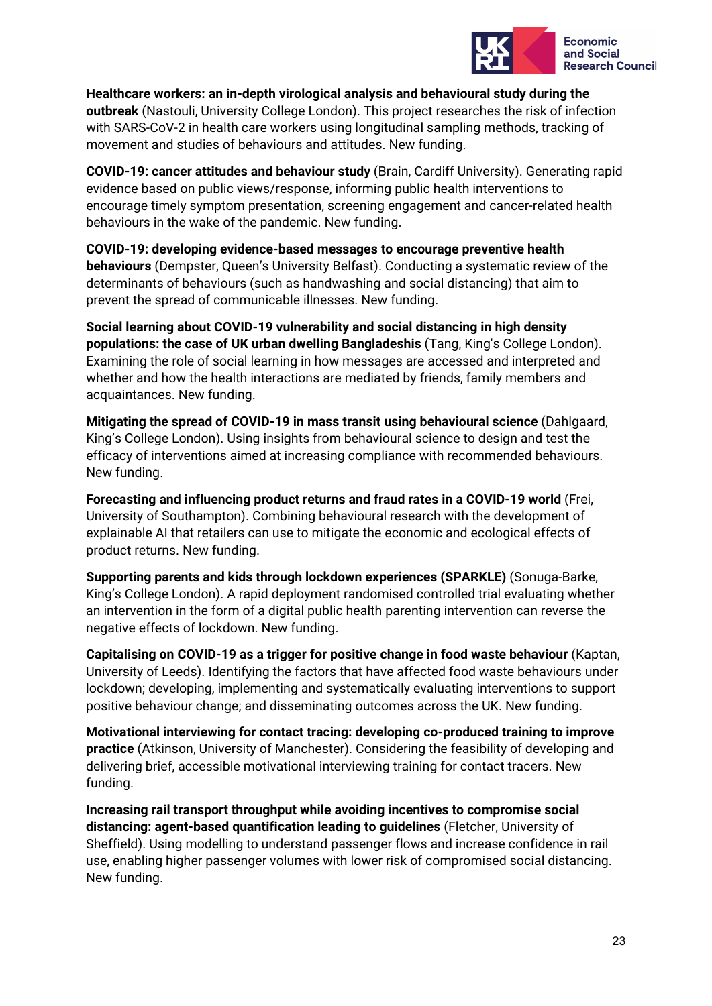

**Healthcare workers: an in-depth virological analysis and behavioural study during the outbreak** (Nastouli, University College London). This project researches the risk of infection with SARS-CoV-2 in health care workers using longitudinal sampling methods, tracking of movement and studies of behaviours and attitudes. New funding.

**COVID-19: cancer attitudes and behaviour study** (Brain, Cardiff University). Generating rapid evidence based on public views/response, informing public health interventions to encourage timely symptom presentation, screening engagement and cancer-related health behaviours in the wake of the pandemic. New funding.

**COVID-19: developing evidence-based messages to encourage preventive health behaviours** (Dempster, Queen's University Belfast). Conducting a systematic review of the determinants of behaviours (such as handwashing and social distancing) that aim to prevent the spread of communicable illnesses. New funding.

**Social learning about COVID-19 vulnerability and social distancing in high density populations: the case of UK urban dwelling Bangladeshis** (Tang, King's College London). Examining the role of social learning in how messages are accessed and interpreted and whether and how the health interactions are mediated by friends, family members and acquaintances. New funding.

**Mitigating the spread of COVID-19 in mass transit using behavioural science** (Dahlgaard, King's College London). Using insights from behavioural science to design and test the efficacy of interventions aimed at increasing compliance with recommended behaviours. New funding.

**Forecasting and influencing product returns and fraud rates in a COVID-19 world** (Frei, University of Southampton). Combining behavioural research with the development of explainable AI that retailers can use to mitigate the economic and ecological effects of product returns. New funding.

**Supporting parents and kids through lockdown experiences (SPARKLE)** (Sonuga-Barke, King's College London). A rapid deployment randomised controlled trial evaluating whether an intervention in the form of a digital public health parenting intervention can reverse the negative effects of lockdown. New funding.

**Capitalising on COVID-19 as a trigger for positive change in food waste behaviour** (Kaptan, University of Leeds). Identifying the factors that have affected food waste behaviours under lockdown; developing, implementing and systematically evaluating interventions to support positive behaviour change; and disseminating outcomes across the UK. New funding.

**Motivational interviewing for contact tracing: developing co-produced training to improve practice** (Atkinson, University of Manchester). Considering the feasibility of developing and delivering brief, accessible motivational interviewing training for contact tracers. New funding.

**Increasing rail transport throughput while avoiding incentives to compromise social distancing: agent-based quantification leading to guidelines** (Fletcher, University of Sheffield). Using modelling to understand passenger flows and increase confidence in rail use, enabling higher passenger volumes with lower risk of compromised social distancing. New funding.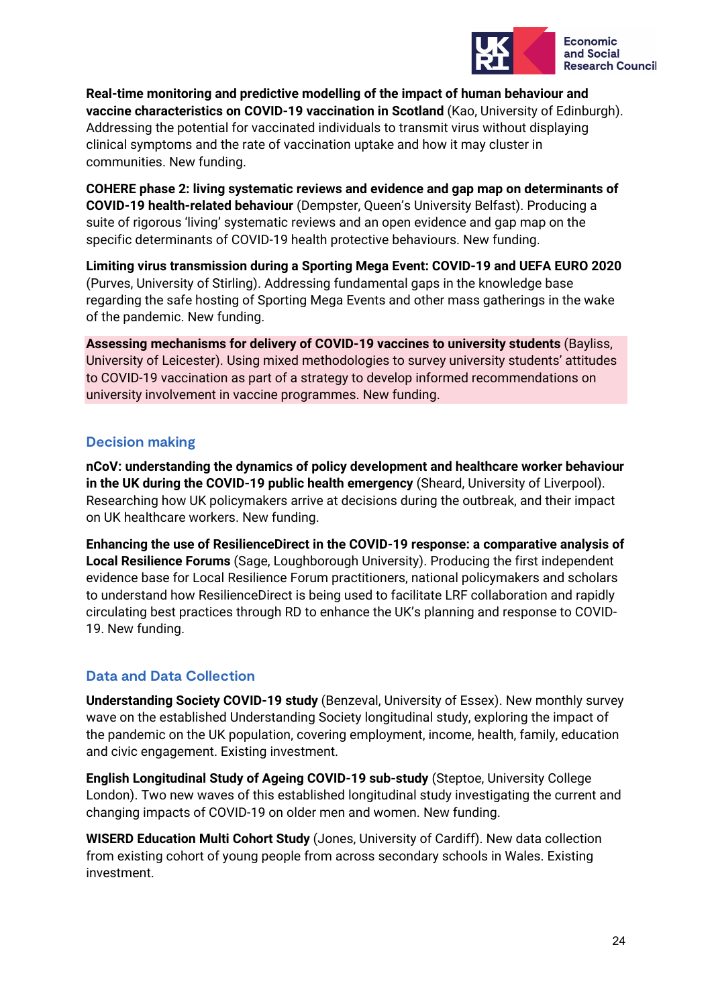

**Real-time monitoring and predictive modelling of the impact of human behaviour and vaccine characteristics on COVID-19 vaccination in Scotland** (Kao, University of Edinburgh). Addressing the potential for vaccinated individuals to transmit virus without displaying clinical symptoms and the rate of vaccination uptake and how it may cluster in communities. New funding.

**COHERE phase 2: living systematic reviews and evidence and gap map on determinants of COVID-19 health-related behaviour** (Dempster, Queen's University Belfast). Producing a suite of rigorous 'living' systematic reviews and an open evidence and gap map on the specific determinants of COVID-19 health protective behaviours. New funding.

**Limiting virus transmission during a Sporting Mega Event: COVID-19 and UEFA EURO 2020** (Purves, University of Stirling). Addressing fundamental gaps in the knowledge base regarding the safe hosting of Sporting Mega Events and other mass gatherings in the wake of the pandemic. New funding.

**Assessing mechanisms for delivery of COVID-19 vaccines to university students** (Bayliss, University of Leicester). Using mixed methodologies to survey university students' attitudes to COVID-19 vaccination as part of a strategy to develop informed recommendations on university involvement in vaccine programmes. New funding.

### **Decision making**

**nCoV: understanding the dynamics of policy development and healthcare worker behaviour in the UK during the COVID-19 public health emergency** (Sheard, University of Liverpool). Researching how UK policymakers arrive at decisions during the outbreak, and their impact on UK healthcare workers. New funding.

**Enhancing the use of ResilienceDirect in the COVID-19 response: a comparative analysis of Local Resilience Forums** (Sage, Loughborough University). Producing the first independent evidence base for Local Resilience Forum practitioners, national policymakers and scholars to understand how ResilienceDirect is being used to facilitate LRF collaboration and rapidly circulating best practices through RD to enhance the UK's planning and response to COVID-19. New funding.

### **Data and Data Collection**

**Understanding Society COVID-19 study** (Benzeval, University of Essex). New monthly survey wave on the established Understanding Society longitudinal study, exploring the impact of the pandemic on the UK population, covering employment, income, health, family, education and civic engagement. Existing investment.

**English Longitudinal Study of Ageing COVID-19 sub-study** (Steptoe, University College London). Two new waves of this established longitudinal study investigating the current and changing impacts of COVID-19 on older men and women. New funding.

**WISERD Education Multi Cohort Study** (Jones, University of Cardiff). New data collection from existing cohort of young people from across secondary schools in Wales. Existing investment.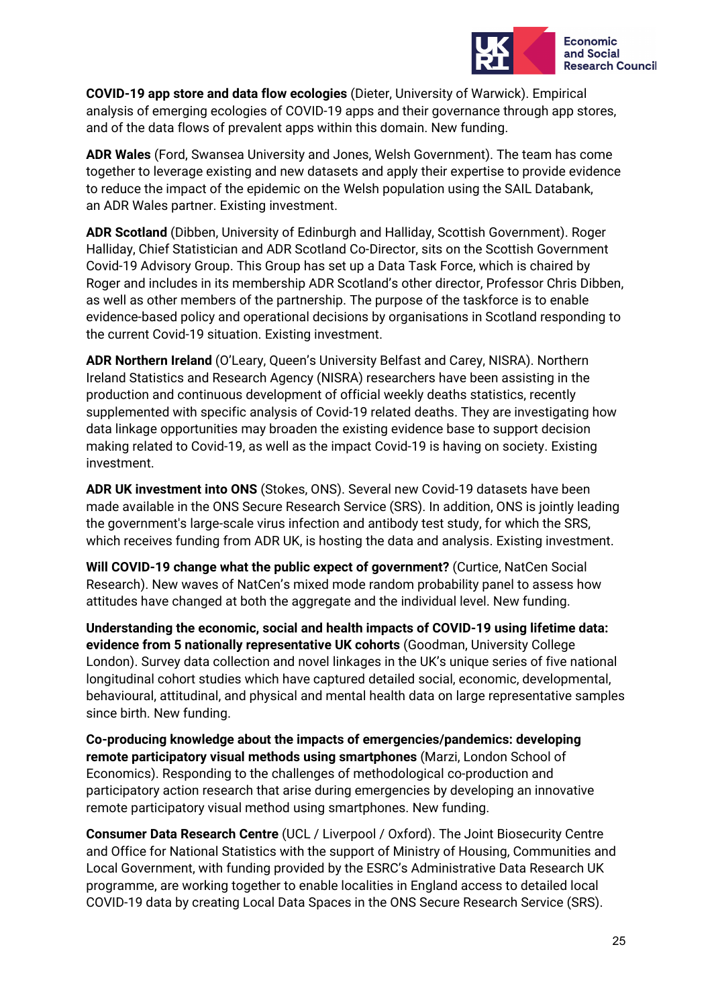

**COVID-19 app store and data flow ecologies** (Dieter, University of Warwick). Empirical analysis of emerging ecologies of COVID-19 apps and their governance through app stores, and of the data flows of prevalent apps within this domain. New funding.

**ADR Wales** (Ford, Swansea University and Jones, Welsh Government). The team has come together to leverage existing and new datasets and apply their expertise to provide evidence to reduce the impact of the epidemic on the Welsh population using the SAIL Databank, an ADR Wales partner. Existing investment.

**ADR Scotland** (Dibben, University of Edinburgh and Halliday, Scottish Government). Roger Halliday, Chief Statistician and ADR Scotland Co-Director, sits on the Scottish Government Covid-19 Advisory Group. This Group has set up a Data Task Force, which is chaired by Roger and includes in its membership ADR Scotland's other director, Professor Chris Dibben, as well as other members of the partnership. The purpose of the taskforce is to enable evidence-based policy and operational decisions by organisations in Scotland responding to the current Covid-19 situation. Existing investment.

**ADR Northern Ireland** (O'Leary, Queen's University Belfast and Carey, NISRA). Northern Ireland Statistics and Research Agency (NISRA) researchers have been assisting in the production and continuous development of official weekly deaths statistics, recently supplemented with specific analysis of Covid-19 related deaths. They are investigating how data linkage opportunities may broaden the existing evidence base to support decision making related to Covid-19, as well as the impact Covid-19 is having on society. Existing investment.

**ADR UK investment into ONS** (Stokes, ONS). Several new Covid-19 datasets have been made available in the ONS Secure Research Service (SRS). In addition, ONS is jointly leading the government's large-scale virus infection and antibody test study, for which the SRS, which receives funding from ADR UK, is hosting the data and analysis. Existing investment.

**Will COVID-19 change what the public expect of government?** (Curtice, NatCen Social Research). New waves of NatCen's mixed mode random probability panel to assess how attitudes have changed at both the aggregate and the individual level. New funding.

**Understanding the economic, social and health impacts of COVID-19 using lifetime data: evidence from 5 nationally representative UK cohorts** (Goodman, University College London). Survey data collection and novel linkages in the UK's unique series of five national longitudinal cohort studies which have captured detailed social, economic, developmental, behavioural, attitudinal, and physical and mental health data on large representative samples since birth. New funding.

**Co-producing knowledge about the impacts of emergencies/pandemics: developing remote participatory visual methods using smartphones** (Marzi, London School of Economics). Responding to the challenges of methodological co-production and participatory action research that arise during emergencies by developing an innovative remote participatory visual method using smartphones. New funding.

**Consumer Data Research Centre** (UCL / Liverpool / Oxford). The Joint Biosecurity Centre and Office for National Statistics with the support of Ministry of Housing, Communities and Local Government, with funding provided by the ESRC's Administrative Data Research UK programme, are working together to enable localities in England access to detailed local COVID-19 data by creating Local Data Spaces in the ONS Secure Research Service (SRS).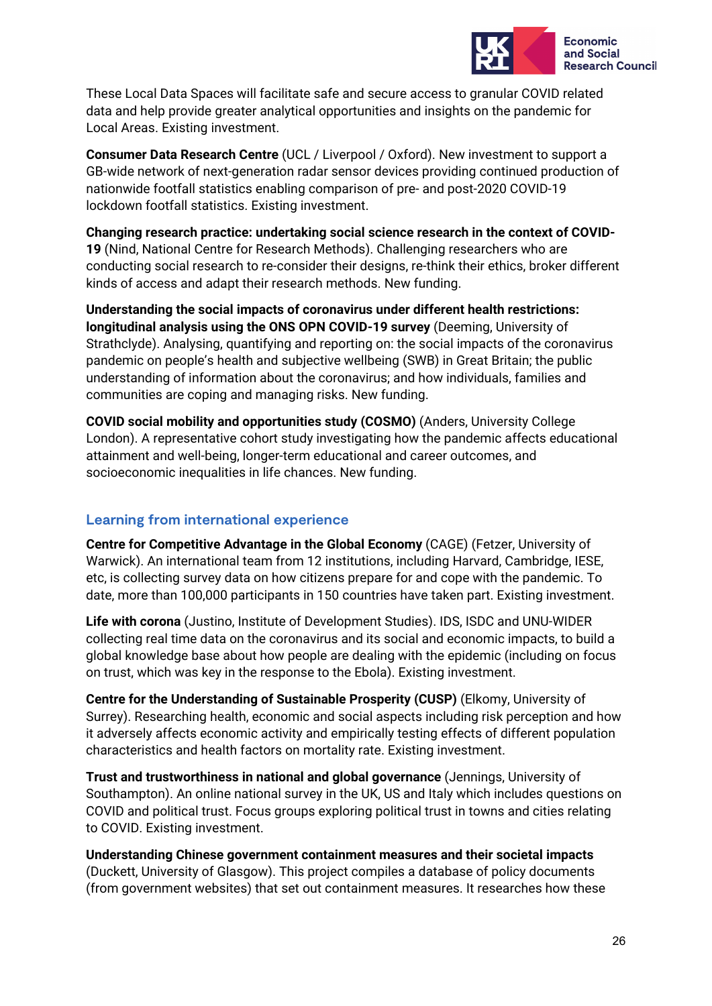

These Local Data Spaces will facilitate safe and secure access to granular COVID related data and help provide greater analytical opportunities and insights on the pandemic for Local Areas. Existing investment.

**Consumer Data Research Centre** (UCL / Liverpool / Oxford). New investment to support a GB-wide network of next-generation radar sensor devices providing continued production of nationwide footfall statistics enabling comparison of pre- and post-2020 COVID-19 lockdown footfall statistics. Existing investment.

**Changing research practice: undertaking social science research in the context of COVID-19** (Nind, National Centre for Research Methods). Challenging researchers who are conducting social research to re-consider their designs, re-think their ethics, broker different kinds of access and adapt their research methods. New funding.

**Understanding the social impacts of coronavirus under different health restrictions: longitudinal analysis using the ONS OPN COVID-19 survey** (Deeming, University of Strathclyde). Analysing, quantifying and reporting on: the social impacts of the coronavirus pandemic on people's health and subjective wellbeing (SWB) in Great Britain; the public understanding of information about the coronavirus; and how individuals, families and communities are coping and managing risks. New funding.

**COVID social mobility and opportunities study (COSMO)** (Anders, University College London). A representative cohort study investigating how the pandemic affects educational attainment and well-being, longer-term educational and career outcomes, and socioeconomic inequalities in life chances. New funding.

### **Learning from international experience**

**Centre for Competitive Advantage in the Global Economy** (CAGE) (Fetzer, University of Warwick). An international team from 12 institutions, including Harvard, Cambridge, IESE, etc, is collecting survey data on how citizens prepare for and cope with the pandemic. To date, more than 100,000 participants in 150 countries have taken part. Existing investment.

**Life with corona** (Justino, Institute of Development Studies). IDS, ISDC and UNU-WIDER collecting real time data on the coronavirus and its social and economic impacts, to build a global knowledge base about how people are dealing with the epidemic (including on focus on trust, which was key in the response to the Ebola). Existing investment.

**Centre for the Understanding of Sustainable Prosperity (CUSP)** (Elkomy, University of Surrey). Researching health, economic and social aspects including risk perception and how it adversely affects economic activity and empirically testing effects of different population characteristics and health factors on mortality rate. Existing investment.

**Trust and trustworthiness in national and global governance** (Jennings, University of Southampton). An online national survey in the UK, US and Italy which includes questions on COVID and political trust. Focus groups exploring political trust in towns and cities relating to COVID. Existing investment.

**Understanding Chinese government containment measures and their societal impacts**  (Duckett, University of Glasgow). This project compiles a database of policy documents (from government websites) that set out containment measures. It researches how these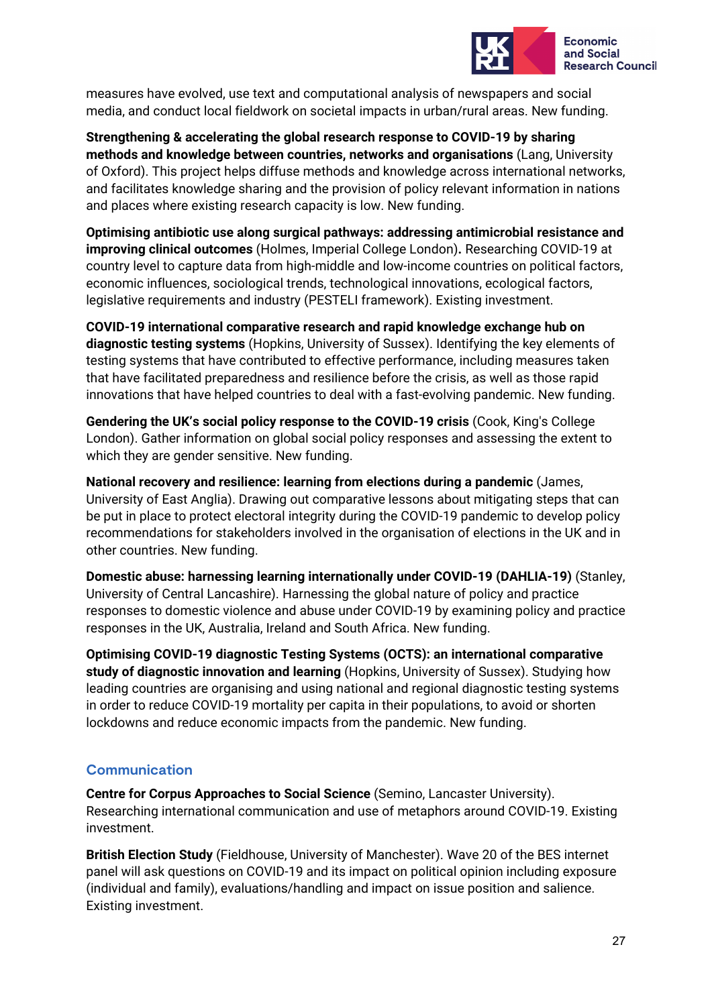

measures have evolved, use text and computational analysis of newspapers and social media, and conduct local fieldwork on societal impacts in urban/rural areas. New funding.

**Strengthening & accelerating the global research response to COVID-19 by sharing methods and knowledge between countries, networks and organisations** (Lang, University of Oxford). This project helps diffuse methods and knowledge across international networks, and facilitates knowledge sharing and the provision of policy relevant information in nations and places where existing research capacity is low. New funding.

**Optimising antibiotic use along surgical pathways: addressing antimicrobial resistance and improving clinical outcomes** (Holmes, Imperial College London)**.** Researching COVID-19 at country level to capture data from high-middle and low-income countries on political factors, economic influences, sociological trends, technological innovations, ecological factors, legislative requirements and industry (PESTELI framework). Existing investment.

**COVID-19 international comparative research and rapid knowledge exchange hub on diagnostic testing systems** (Hopkins, University of Sussex). Identifying the key elements of testing systems that have contributed to effective performance, including measures taken that have facilitated preparedness and resilience before the crisis, as well as those rapid innovations that have helped countries to deal with a fast-evolving pandemic. New funding.

**Gendering the UK's social policy response to the COVID-19 crisis** (Cook, King's College London). Gather information on global social policy responses and assessing the extent to which they are gender sensitive. New funding.

**National recovery and resilience: learning from elections during a pandemic** (James, University of East Anglia). Drawing out comparative lessons about mitigating steps that can be put in place to protect electoral integrity during the COVID-19 pandemic to develop policy recommendations for stakeholders involved in the organisation of elections in the UK and in other countries. New funding.

**Domestic abuse: harnessing learning internationally under COVID-19 (DAHLIA-19)** (Stanley, University of Central Lancashire). Harnessing the global nature of policy and practice responses to domestic violence and abuse under COVID-19 by examining policy and practice responses in the UK, Australia, Ireland and South Africa. New funding.

**Optimising COVID-19 diagnostic Testing Systems (OCTS): an international comparative study of diagnostic innovation and learning** (Hopkins, University of Sussex). Studying how leading countries are organising and using national and regional diagnostic testing systems in order to reduce COVID-19 mortality per capita in their populations, to avoid or shorten lockdowns and reduce economic impacts from the pandemic. New funding.

### **Communication**

**Centre for Corpus Approaches to Social Science** (Semino, Lancaster University). Researching international communication and use of metaphors around COVID-19. Existing investment.

**British Election Study** (Fieldhouse, University of Manchester). Wave 20 of the BES internet panel will ask questions on COVID-19 and its impact on political opinion including exposure (individual and family), evaluations/handling and impact on issue position and salience. Existing investment.